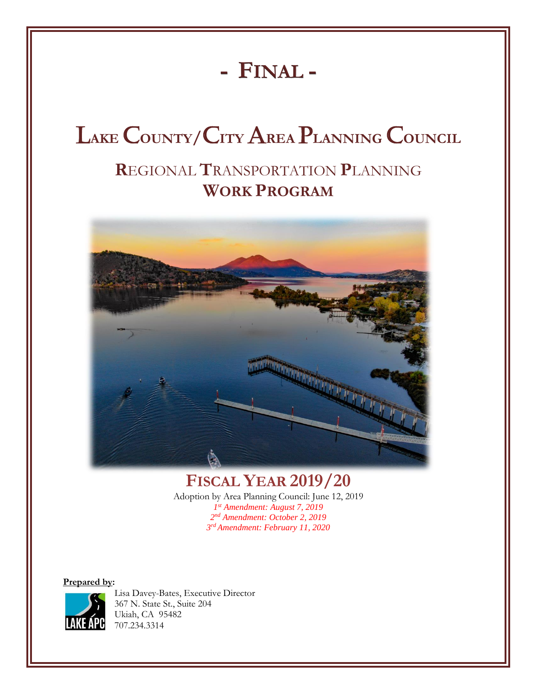# **- FINAL -**

# L**AKE** C**OUNTY/**C**ITY** A**REA** P**LANNING** C**OUNCIL**

# **R**EGIONAL **T**RANSPORTATION **P**LANNING **WORK PROGRAM**



# **FISCAL YEAR 2019/20**

Adoption by Area Planning Council: June 12, 2019 *st Amendment: August 7, 2019 nd Amendment: October 2, 2019 rd Amendment: February 11, 2020*

**Prepared by:**



Lisa Davey-Bates, Executive Director 367 N. State St., Suite 204 Ukiah, CA 95482 707.234.3314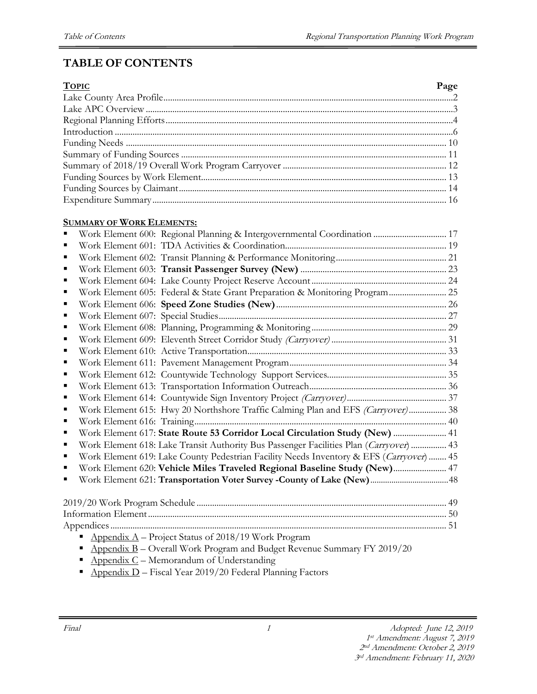# **TABLE OF CONTENTS**

| <b>TOPIC</b> | Page |
|--------------|------|
|              |      |
|              |      |
|              |      |
|              |      |
|              |      |
|              |      |
|              |      |
|              |      |
|              |      |
|              |      |

#### **SUMMARY OF WORK ELEMENTS:**

| п | Work Element 600: Regional Planning & Intergovernmental Coordination  17                |  |
|---|-----------------------------------------------------------------------------------------|--|
|   |                                                                                         |  |
| п |                                                                                         |  |
| п |                                                                                         |  |
| п |                                                                                         |  |
| п | Work Element 605: Federal & State Grant Preparation & Monitoring Program 25             |  |
|   |                                                                                         |  |
| п |                                                                                         |  |
| п |                                                                                         |  |
| ■ |                                                                                         |  |
| п |                                                                                         |  |
| ■ |                                                                                         |  |
| п |                                                                                         |  |
| п |                                                                                         |  |
| ٠ |                                                                                         |  |
| ■ | Work Element 615: Hwy 20 Northshore Traffic Calming Plan and EFS (Carryover) 38         |  |
| п |                                                                                         |  |
| ■ | Work Element 617: State Route 53 Corridor Local Circulation Study (New)  41             |  |
|   | Work Element 618: Lake Transit Authority Bus Passenger Facilities Plan (Carryover)  43  |  |
| п | Work Element 619: Lake County Pedestrian Facility Needs Inventory & EFS (Carryover)  45 |  |
|   | Work Element 620: Vehicle Miles Traveled Regional Baseline Study (New) 47               |  |
|   |                                                                                         |  |
|   |                                                                                         |  |
|   |                                                                                         |  |
|   |                                                                                         |  |
|   |                                                                                         |  |
|   | Appendix $A$ – Project Status of 2018/19 Work Program                                   |  |
|   | Appendix B - Overall Work Program and Budget Revenue Summary FY 2019/20                 |  |

- **•** Appendix  $C$  Memorandum of Understanding
- $\triangle$  Appendix D Fiscal Year 2019/20 Federal Planning Factors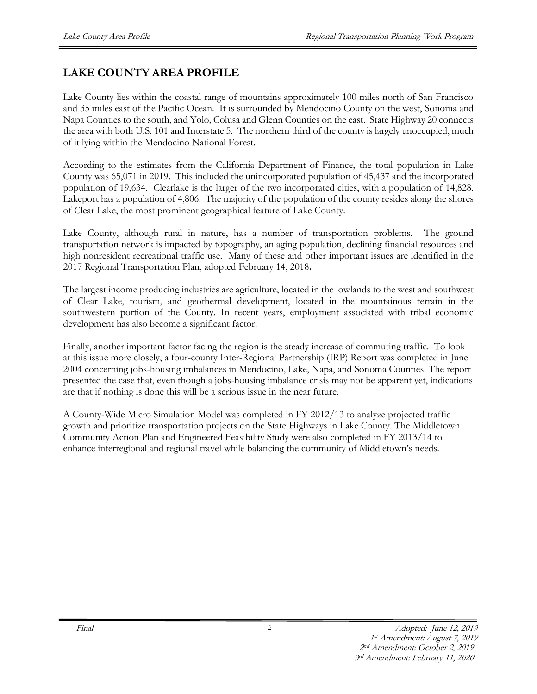# **LAKE COUNTY AREA PROFILE**

Lake County lies within the coastal range of mountains approximately 100 miles north of San Francisco and 35 miles east of the Pacific Ocean. It is surrounded by Mendocino County on the west, Sonoma and Napa Counties to the south, and Yolo, Colusa and Glenn Counties on the east. State Highway 20 connects the area with both U.S. 101 and Interstate 5. The northern third of the county is largely unoccupied, much of it lying within the Mendocino National Forest.

According to the estimates from the California Department of Finance, the total population in Lake County was 65,071 in 2019. This included the unincorporated population of 45,437 and the incorporated population of 19,634. Clearlake is the larger of the two incorporated cities, with a population of 14,828. Lakeport has a population of 4,806. The majority of the population of the county resides along the shores of Clear Lake, the most prominent geographical feature of Lake County.

Lake County, although rural in nature, has a number of transportation problems. The ground transportation network is impacted by topography, an aging population, declining financial resources and high nonresident recreational traffic use. Many of these and other important issues are identified in the 2017 Regional Transportation Plan, adopted February 14, 2018**.** 

The largest income producing industries are agriculture, located in the lowlands to the west and southwest of Clear Lake, tourism, and geothermal development, located in the mountainous terrain in the southwestern portion of the County. In recent years, employment associated with tribal economic development has also become a significant factor.

Finally, another important factor facing the region is the steady increase of commuting traffic. To look at this issue more closely, a four-county Inter-Regional Partnership (IRP) Report was completed in June 2004 concerning jobs-housing imbalances in Mendocino, Lake, Napa, and Sonoma Counties. The report presented the case that, even though a jobs-housing imbalance crisis may not be apparent yet, indications are that if nothing is done this will be a serious issue in the near future.

A County-Wide Micro Simulation Model was completed in FY 2012/13 to analyze projected traffic growth and prioritize transportation projects on the State Highways in Lake County. The Middletown Community Action Plan and Engineered Feasibility Study were also completed in FY 2013/14 to enhance interregional and regional travel while balancing the community of Middletown's needs.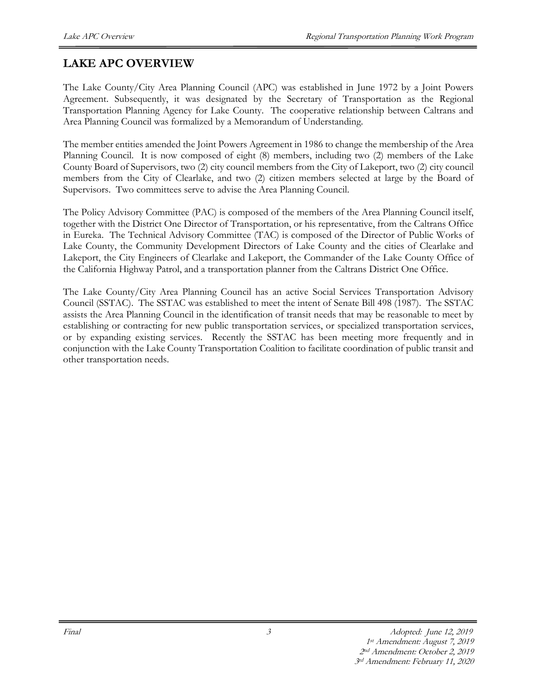# **LAKE APC OVERVIEW**

The Lake County/City Area Planning Council (APC) was established in June 1972 by a Joint Powers Agreement. Subsequently, it was designated by the Secretary of Transportation as the Regional Transportation Planning Agency for Lake County. The cooperative relationship between Caltrans and Area Planning Council was formalized by a Memorandum of Understanding.

The member entities amended the Joint Powers Agreement in 1986 to change the membership of the Area Planning Council. It is now composed of eight (8) members, including two (2) members of the Lake County Board of Supervisors, two (2) city council members from the City of Lakeport, two (2) city council members from the City of Clearlake, and two (2) citizen members selected at large by the Board of Supervisors. Two committees serve to advise the Area Planning Council.

The Policy Advisory Committee (PAC) is composed of the members of the Area Planning Council itself, together with the District One Director of Transportation, or his representative, from the Caltrans Office in Eureka. The Technical Advisory Committee (TAC) is composed of the Director of Public Works of Lake County, the Community Development Directors of Lake County and the cities of Clearlake and Lakeport, the City Engineers of Clearlake and Lakeport, the Commander of the Lake County Office of the California Highway Patrol, and a transportation planner from the Caltrans District One Office.

The Lake County/City Area Planning Council has an active Social Services Transportation Advisory Council (SSTAC). The SSTAC was established to meet the intent of Senate Bill 498 (1987). The SSTAC assists the Area Planning Council in the identification of transit needs that may be reasonable to meet by establishing or contracting for new public transportation services, or specialized transportation services, or by expanding existing services. Recently the SSTAC has been meeting more frequently and in conjunction with the Lake County Transportation Coalition to facilitate coordination of public transit and other transportation needs.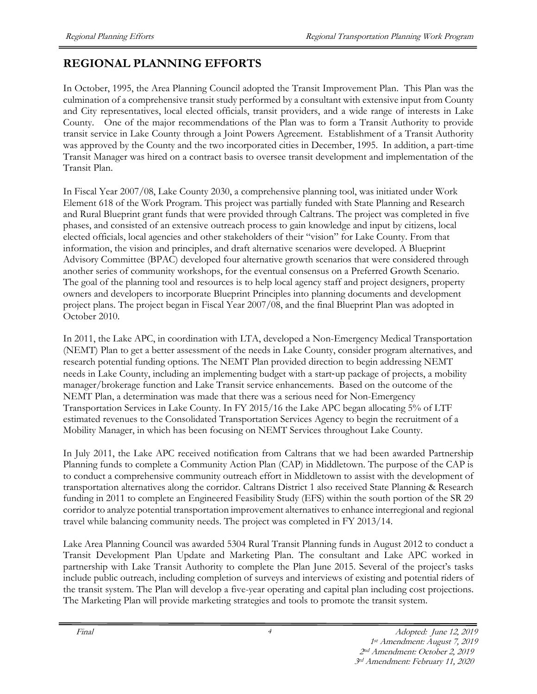# **REGIONAL PLANNING EFFORTS**

In October, 1995, the Area Planning Council adopted the Transit Improvement Plan. This Plan was the culmination of a comprehensive transit study performed by a consultant with extensive input from County and City representatives, local elected officials, transit providers, and a wide range of interests in Lake County. One of the major recommendations of the Plan was to form a Transit Authority to provide transit service in Lake County through a Joint Powers Agreement. Establishment of a Transit Authority was approved by the County and the two incorporated cities in December, 1995. In addition, a part-time Transit Manager was hired on a contract basis to oversee transit development and implementation of the Transit Plan.

In Fiscal Year 2007/08, Lake County 2030, a comprehensive planning tool, was initiated under Work Element 618 of the Work Program. This project was partially funded with State Planning and Research and Rural Blueprint grant funds that were provided through Caltrans. The project was completed in five phases, and consisted of an extensive outreach process to gain knowledge and input by citizens, local elected officials, local agencies and other stakeholders of their "vision" for Lake County. From that information, the vision and principles, and draft alternative scenarios were developed. A Blueprint Advisory Committee (BPAC) developed four alternative growth scenarios that were considered through another series of community workshops, for the eventual consensus on a Preferred Growth Scenario. The goal of the planning tool and resources is to help local agency staff and project designers, property owners and developers to incorporate Blueprint Principles into planning documents and development project plans. The project began in Fiscal Year 2007/08, and the final Blueprint Plan was adopted in October 2010.

In 2011, the Lake APC, in coordination with LTA, developed a Non-Emergency Medical Transportation (NEMT) Plan to get a better assessment of the needs in Lake County, consider program alternatives, and research potential funding options. The NEMT Plan provided direction to begin addressing NEMT needs in Lake County, including an implementing budget with a start-up package of projects, a mobility manager/brokerage function and Lake Transit service enhancements. Based on the outcome of the NEMT Plan, a determination was made that there was a serious need for Non-Emergency Transportation Services in Lake County. In FY 2015/16 the Lake APC began allocating 5% of LTF estimated revenues to the Consolidated Transportation Services Agency to begin the recruitment of a Mobility Manager, in which has been focusing on NEMT Services throughout Lake County.

In July 2011, the Lake APC received notification from Caltrans that we had been awarded Partnership Planning funds to complete a Community Action Plan (CAP) in Middletown. The purpose of the CAP is to conduct a comprehensive community outreach effort in Middletown to assist with the development of transportation alternatives along the corridor. Caltrans District 1 also received State Planning & Research funding in 2011 to complete an Engineered Feasibility Study (EFS) within the south portion of the SR 29 corridor to analyze potential transportation improvement alternatives to enhance interregional and regional travel while balancing community needs. The project was completed in FY 2013/14.

Lake Area Planning Council was awarded 5304 Rural Transit Planning funds in August 2012 to conduct a Transit Development Plan Update and Marketing Plan. The consultant and Lake APC worked in partnership with Lake Transit Authority to complete the Plan June 2015. Several of the project's tasks include public outreach, including completion of surveys and interviews of existing and potential riders of the transit system. The Plan will develop a five-year operating and capital plan including cost projections. The Marketing Plan will provide marketing strategies and tools to promote the transit system.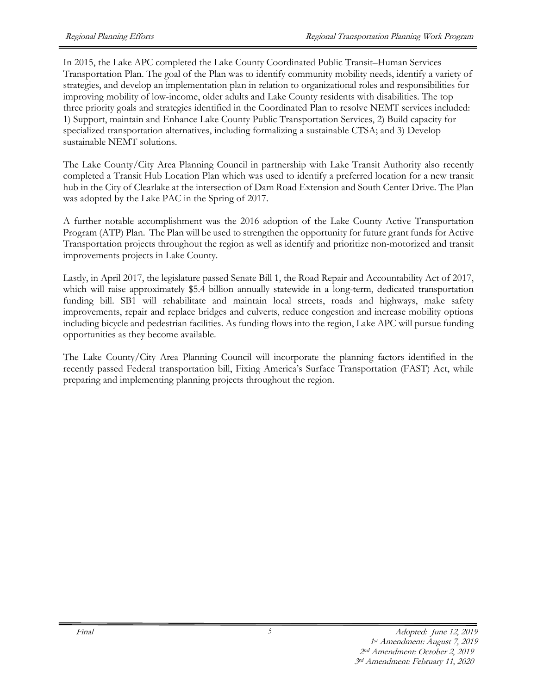In 2015, the Lake APC completed the Lake County Coordinated Public Transit–Human Services Transportation Plan. The goal of the Plan was to identify community mobility needs, identify a variety of strategies, and develop an implementation plan in relation to organizational roles and responsibilities for improving mobility of low-income, older adults and Lake County residents with disabilities. The top three priority goals and strategies identified in the Coordinated Plan to resolve NEMT services included: 1) Support, maintain and Enhance Lake County Public Transportation Services, 2) Build capacity for specialized transportation alternatives, including formalizing a sustainable CTSA; and 3) Develop sustainable NEMT solutions.

The Lake County/City Area Planning Council in partnership with Lake Transit Authority also recently completed a Transit Hub Location Plan which was used to identify a preferred location for a new transit hub in the City of Clearlake at the intersection of Dam Road Extension and South Center Drive. The Plan was adopted by the Lake PAC in the Spring of 2017.

A further notable accomplishment was the 2016 adoption of the Lake County Active Transportation Program (ATP) Plan. The Plan will be used to strengthen the opportunity for future grant funds for Active Transportation projects throughout the region as well as identify and prioritize non-motorized and transit improvements projects in Lake County.

Lastly, in April 2017, the legislature passed Senate Bill 1, the Road Repair and Accountability Act of 2017, which will raise approximately \$5.4 billion annually statewide in a long-term, dedicated transportation funding bill. SB1 will rehabilitate and maintain local streets, roads and highways, make safety improvements, repair and replace bridges and culverts, reduce congestion and increase mobility options including bicycle and pedestrian facilities. As funding flows into the region, Lake APC will pursue funding opportunities as they become available.

The Lake County/City Area Planning Council will incorporate the planning factors identified in the recently passed Federal transportation bill, Fixing America's Surface Transportation (FAST) Act, while preparing and implementing planning projects throughout the region.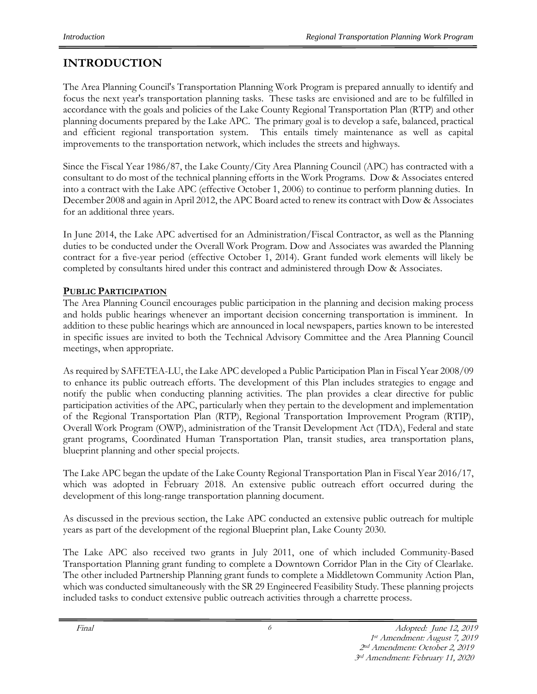# **INTRODUCTION**

The Area Planning Council's Transportation Planning Work Program is prepared annually to identify and focus the next year's transportation planning tasks. These tasks are envisioned and are to be fulfilled in accordance with the goals and policies of the Lake County Regional Transportation Plan (RTP) and other planning documents prepared by the Lake APC. The primary goal is to develop a safe, balanced, practical and efficient regional transportation system. This entails timely maintenance as well as capital improvements to the transportation network, which includes the streets and highways.

Since the Fiscal Year 1986/87, the Lake County/City Area Planning Council (APC) has contracted with a consultant to do most of the technical planning efforts in the Work Programs. Dow & Associates entered into a contract with the Lake APC (effective October 1, 2006) to continue to perform planning duties. In December 2008 and again in April 2012, the APC Board acted to renew its contract with Dow & Associates for an additional three years.

In June 2014, the Lake APC advertised for an Administration/Fiscal Contractor, as well as the Planning duties to be conducted under the Overall Work Program. Dow and Associates was awarded the Planning contract for a five-year period (effective October 1, 2014). Grant funded work elements will likely be completed by consultants hired under this contract and administered through Dow & Associates.

## **PUBLIC PARTICIPATION**

The Area Planning Council encourages public participation in the planning and decision making process and holds public hearings whenever an important decision concerning transportation is imminent. In addition to these public hearings which are announced in local newspapers, parties known to be interested in specific issues are invited to both the Technical Advisory Committee and the Area Planning Council meetings, when appropriate.

As required by SAFETEA-LU, the Lake APC developed a Public Participation Plan in Fiscal Year 2008/09 to enhance its public outreach efforts. The development of this Plan includes strategies to engage and notify the public when conducting planning activities. The plan provides a clear directive for public participation activities of the APC, particularly when they pertain to the development and implementation of the Regional Transportation Plan (RTP), Regional Transportation Improvement Program (RTIP), Overall Work Program (OWP), administration of the Transit Development Act (TDA), Federal and state grant programs, Coordinated Human Transportation Plan, transit studies, area transportation plans, blueprint planning and other special projects.

The Lake APC began the update of the Lake County Regional Transportation Plan in Fiscal Year 2016/17, which was adopted in February 2018. An extensive public outreach effort occurred during the development of this long-range transportation planning document.

As discussed in the previous section, the Lake APC conducted an extensive public outreach for multiple years as part of the development of the regional Blueprint plan, Lake County 2030.

The Lake APC also received two grants in July 2011, one of which included Community-Based Transportation Planning grant funding to complete a Downtown Corridor Plan in the City of Clearlake. The other included Partnership Planning grant funds to complete a Middletown Community Action Plan, which was conducted simultaneously with the SR 29 Engineered Feasibility Study. These planning projects included tasks to conduct extensive public outreach activities through a charrette process.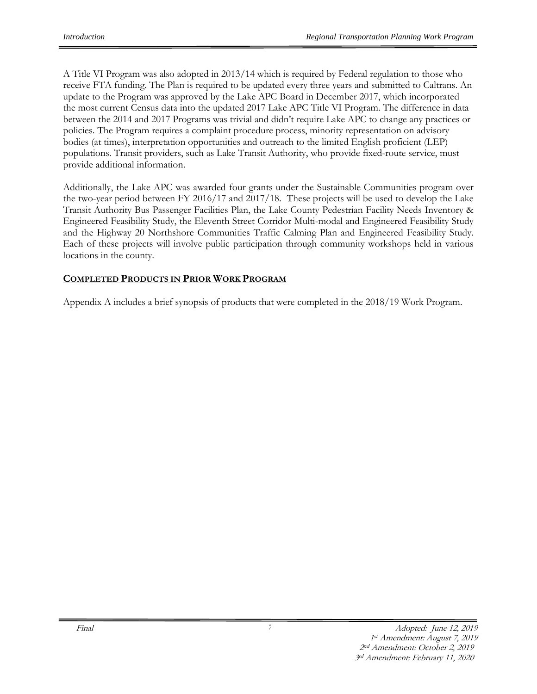A Title VI Program was also adopted in 2013/14 which is required by Federal regulation to those who receive FTA funding. The Plan is required to be updated every three years and submitted to Caltrans. An update to the Program was approved by the Lake APC Board in December 2017, which incorporated the most current Census data into the updated 2017 Lake APC Title VI Program. The difference in data between the 2014 and 2017 Programs was trivial and didn't require Lake APC to change any practices or policies. The Program requires a complaint procedure process, minority representation on advisory bodies (at times), interpretation opportunities and outreach to the limited English proficient (LEP) populations. Transit providers, such as Lake Transit Authority, who provide fixed-route service, must provide additional information.

Additionally, the Lake APC was awarded four grants under the Sustainable Communities program over the two-year period between FY 2016/17 and 2017/18. These projects will be used to develop the Lake Transit Authority Bus Passenger Facilities Plan, the Lake County Pedestrian Facility Needs Inventory & Engineered Feasibility Study, the Eleventh Street Corridor Multi-modal and Engineered Feasibility Study and the Highway 20 Northshore Communities Traffic Calming Plan and Engineered Feasibility Study. Each of these projects will involve public participation through community workshops held in various locations in the county.

#### **COMPLETED PRODUCTS IN PRIOR WORK PROGRAM**

Appendix A includes a brief synopsis of products that were completed in the 2018/19 Work Program.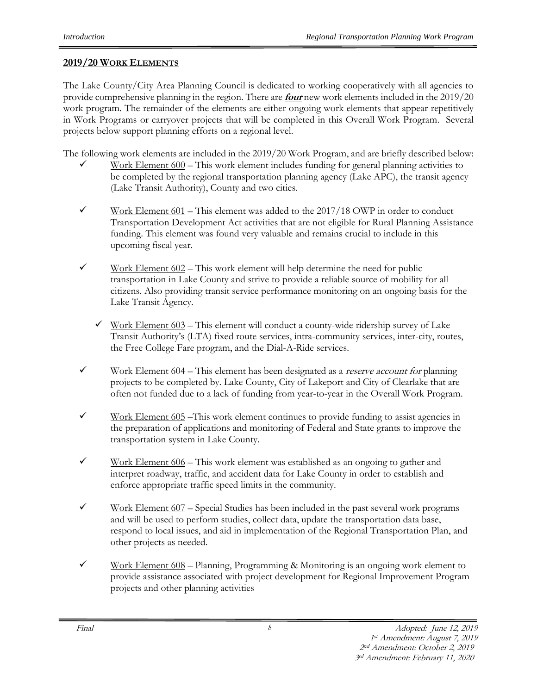#### **2019/20 WORK ELEMENTS**

The Lake County/City Area Planning Council is dedicated to working cooperatively with all agencies to provide comprehensive planning in the region. There are **four** new work elements included in the 2019/20 work program. The remainder of the elements are either ongoing work elements that appear repetitively in Work Programs or carryover projects that will be completed in this Overall Work Program. Several projects below support planning efforts on a regional level.

The following work elements are included in the 2019/20 Work Program, and are briefly described below:

- Work Element 600 This work element includes funding for general planning activities to be completed by the regional transportation planning agency (Lake APC), the transit agency (Lake Transit Authority), County and two cities.
- $\checkmark$  Work Element 601 This element was added to the 2017/18 OWP in order to conduct Transportation Development Act activities that are not eligible for Rural Planning Assistance funding. This element was found very valuable and remains crucial to include in this upcoming fiscal year.
- $\checkmark$  Work Element 602 This work element will help determine the need for public transportation in Lake County and strive to provide a reliable source of mobility for all citizens. Also providing transit service performance monitoring on an ongoing basis for the Lake Transit Agency.
	- $\checkmark$  Work Element 603 This element will conduct a county-wide ridership survey of Lake Transit Authority's (LTA) fixed route services, intra-community services, inter-city, routes, the Free College Fare program, and the Dial-A-Ride services.
- $\checkmark$  Work Element 604 This element has been designated as a *reserve account for* planning projects to be completed by. Lake County, City of Lakeport and City of Clearlake that are often not funded due to a lack of funding from year-to-year in the Overall Work Program.
- $\checkmark$  Work Element 605 This work element continues to provide funding to assist agencies in the preparation of applications and monitoring of Federal and State grants to improve the transportation system in Lake County.
- $\checkmark$  Work Element 606 This work element was established as an ongoing to gather and interpret roadway, traffic, and accident data for Lake County in order to establish and enforce appropriate traffic speed limits in the community.
- $\checkmark$  Work Element 607 Special Studies has been included in the past several work programs and will be used to perform studies, collect data, update the transportation data base, respond to local issues, and aid in implementation of the Regional Transportation Plan, and other projects as needed.
- $\checkmark$  Work Element 608 Planning, Programming & Monitoring is an ongoing work element to provide assistance associated with project development for Regional Improvement Program projects and other planning activities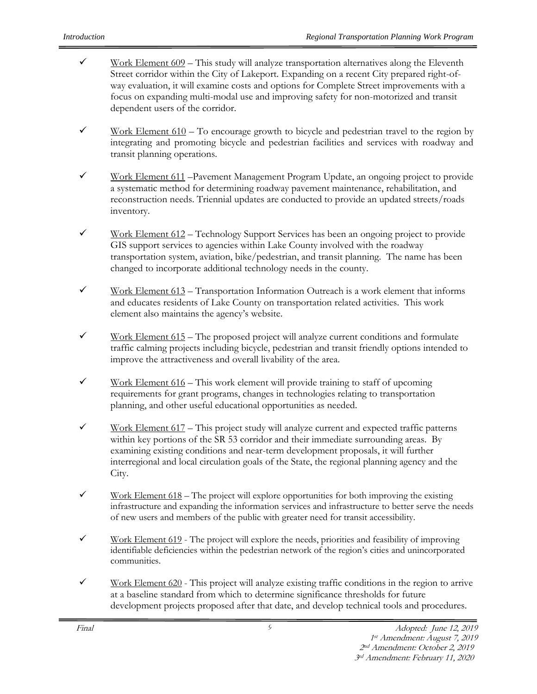- $\checkmark$  Work Element 609 This study will analyze transportation alternatives along the Eleventh Street corridor within the City of Lakeport. Expanding on a recent City prepared right-ofway evaluation, it will examine costs and options for Complete Street improvements with a focus on expanding multi-modal use and improving safety for non-motorized and transit dependent users of the corridor.
- $\checkmark$  Work Element 610 To encourage growth to bicycle and pedestrian travel to the region by integrating and promoting bicycle and pedestrian facilities and services with roadway and transit planning operations.
- ✓ Work Element 611 –Pavement Management Program Update, an ongoing project to provide a systematic method for determining roadway pavement maintenance, rehabilitation, and reconstruction needs. Triennial updates are conducted to provide an updated streets/roads inventory.
- $\checkmark$  Work Element 612 Technology Support Services has been an ongoing project to provide GIS support services to agencies within Lake County involved with the roadway transportation system, aviation, bike/pedestrian, and transit planning. The name has been changed to incorporate additional technology needs in the county.
- $\checkmark$  Work Element 613 Transportation Information Outreach is a work element that informs and educates residents of Lake County on transportation related activities. This work element also maintains the agency's website.
- $\checkmark$  Work Element 615 The proposed project will analyze current conditions and formulate traffic calming projects including bicycle, pedestrian and transit friendly options intended to improve the attractiveness and overall livability of the area.
- $\checkmark$  Work Element 616 This work element will provide training to staff of upcoming requirements for grant programs, changes in technologies relating to transportation planning, and other useful educational opportunities as needed.
- $\checkmark$  Work Element 617 This project study will analyze current and expected traffic patterns within key portions of the SR 53 corridor and their immediate surrounding areas. By examining existing conditions and near-term development proposals, it will further interregional and local circulation goals of the State, the regional planning agency and the City.
- $\checkmark$  Work Element 618 The project will explore opportunities for both improving the existing infrastructure and expanding the information services and infrastructure to better serve the needs of new users and members of the public with greater need for transit accessibility.
- $\checkmark$  Work Element 619 The project will explore the needs, priorities and feasibility of improving identifiable deficiencies within the pedestrian network of the region's cities and unincorporated communities.
- $\checkmark$  Work Element 620 This project will analyze existing traffic conditions in the region to arrive at a baseline standard from which to determine significance thresholds for future development projects proposed after that date, and develop technical tools and procedures.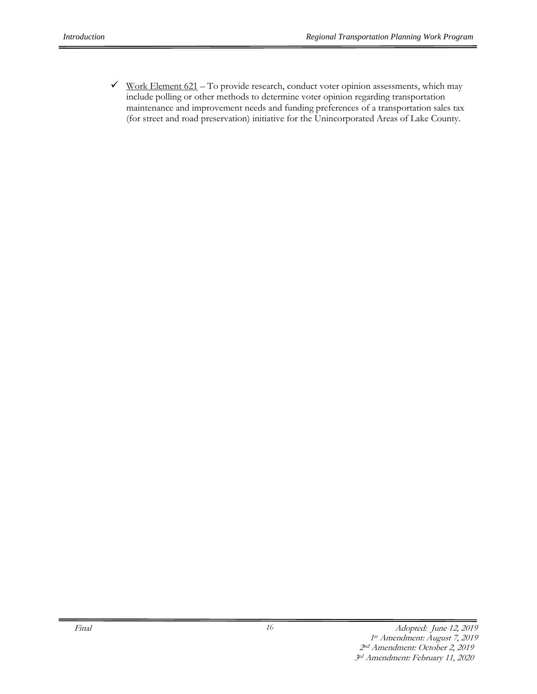$\checkmark$  Work Element 621 – To provide research, conduct voter opinion assessments, which may include polling or other methods to determine voter opinion regarding transportation maintenance and improvement needs and funding preferences of a transportation sales tax (for street and road preservation) initiative for the Unincorporated Areas of Lake County.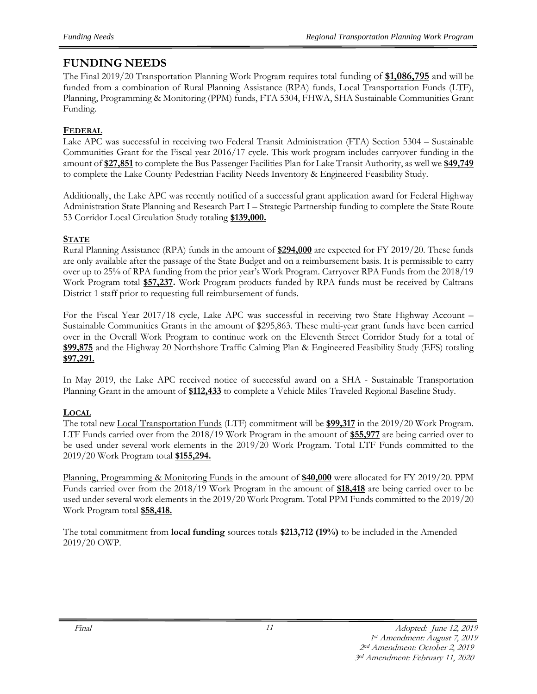## **FUNDING NEEDS**

The Final 2019/20 Transportation Planning Work Program requires total funding of **\$1,086,795** and will be funded from a combination of Rural Planning Assistance (RPA) funds, Local Transportation Funds (LTF), Planning, Programming & Monitoring (PPM) funds, FTA 5304, FHWA, SHA Sustainable Communities Grant Funding.

#### **FEDERAL**

Lake APC was successful in receiving two Federal Transit Administration (FTA) Section 5304 – Sustainable Communities Grant for the Fiscal year 2016/17 cycle. This work program includes carryover funding in the amount of **\$27,851** to complete the Bus Passenger Facilities Plan for Lake Transit Authority, as well we **\$49,749** to complete the Lake County Pedestrian Facility Needs Inventory & Engineered Feasibility Study.

Additionally, the Lake APC was recently notified of a successful grant application award for Federal Highway Administration State Planning and Research Part I – Strategic Partnership funding to complete the State Route 53 Corridor Local Circulation Study totaling **\$139,000.**

#### **STATE**

Rural Planning Assistance (RPA) funds in the amount of **\$294,000** are expected for FY 2019/20. These funds are only available after the passage of the State Budget and on a reimbursement basis. It is permissible to carry over up to 25% of RPA funding from the prior year's Work Program. Carryover RPA Funds from the 2018/19 Work Program total **\$57,237.** Work Program products funded by RPA funds must be received by Caltrans District 1 staff prior to requesting full reimbursement of funds.

For the Fiscal Year 2017/18 cycle, Lake APC was successful in receiving two State Highway Account – Sustainable Communities Grants in the amount of \$295,863. These multi-year grant funds have been carried over in the Overall Work Program to continue work on the Eleventh Street Corridor Study for a total of **\$99,875** and the Highway 20 Northshore Traffic Calming Plan & Engineered Feasibility Study (EFS) totaling **\$97,291.**

In May 2019, the Lake APC received notice of successful award on a SHA - Sustainable Transportation Planning Grant in the amount of **\$112,433** to complete a Vehicle Miles Traveled Regional Baseline Study.

#### **LOCAL**

The total new Local Transportation Funds (LTF) commitment will be **\$99,317** in the 2019/20 Work Program. LTF Funds carried over from the 2018/19 Work Program in the amount of **\$55,977** are being carried over to be used under several work elements in the 2019/20 Work Program. Total LTF Funds committed to the 2019/20 Work Program total **\$155,294.**

Planning, Programming & Monitoring Funds in the amount of **\$40,000** were allocated for FY 2019/20. PPM Funds carried over from the 2018/19 Work Program in the amount of **\$18,418** are being carried over to be used under several work elements in the 2019/20 Work Program. Total PPM Funds committed to the 2019/20 Work Program total **\$58,418.**

The total commitment from **local funding** sources totals **\$213,712 (19%)** to be included in the Amended 2019/20 OWP.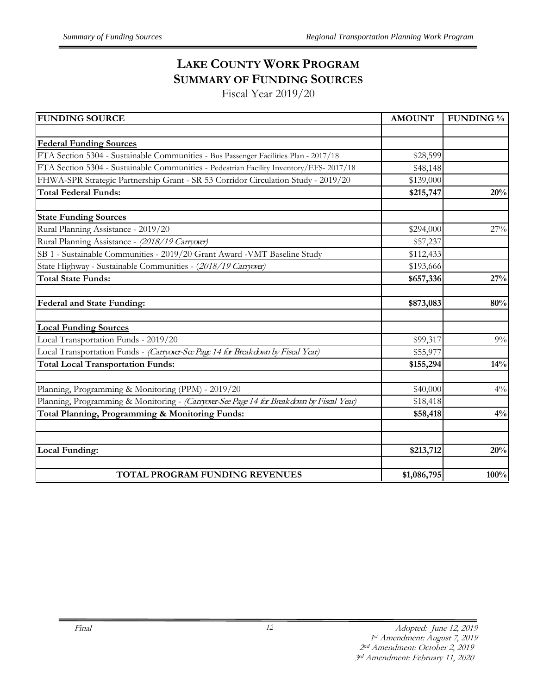# **LAKE COUNTY WORK PROGRAM SUMMARY OF FUNDING SOURCES**

Fiscal Year 2019/20

| <b>FUNDING SOURCE</b>                                                                     | <b>AMOUNT</b> | <b>FUNDING %</b> |
|-------------------------------------------------------------------------------------------|---------------|------------------|
|                                                                                           |               |                  |
| <b>Federal Funding Sources</b>                                                            |               |                  |
| FTA Section 5304 - Sustainable Communities - Bus Passenger Facilities Plan - 2017/18      | \$28,599      |                  |
| FTA Section 5304 - Sustainable Communities - Pedestrian Facility Inventory/EFS-2017/18    | \$48,148      |                  |
| FHWA-SPR Strategic Partnership Grant - SR 53 Corridor Circulation Study - 2019/20         | \$139,000     |                  |
| <b>Total Federal Funds:</b>                                                               | \$215,747     | 20%              |
| <b>State Funding Sources</b>                                                              |               |                  |
| Rural Planning Assistance - 2019/20                                                       | \$294,000     | 27%              |
| Rural Planning Assistance - (2018/19 Carryorer)                                           | \$57,237      |                  |
| SB 1 - Sustainable Communities - 2019/20 Grant Award -VMT Baseline Study                  | \$112,433     |                  |
| State Highway - Sustainable Communities - (2018/19 Carryover)                             | \$193,666     |                  |
| <b>Total State Funds:</b>                                                                 | \$657,336     | 27%              |
| <b>Federal and State Funding:</b>                                                         | \$873,083     | 80%              |
| <b>Local Funding Sources</b>                                                              |               |                  |
| Local Transportation Funds - 2019/20                                                      | \$99,317      | 9%               |
| Local Transportation Funds - (Carryover-See Page 14 for Breakdown by Fiscal Year)         | \$55,977      |                  |
| <b>Total Local Transportation Funds:</b>                                                  | \$155,294     | 14%              |
| Planning, Programming & Monitoring (PPM) - 2019/20                                        | \$40,000      | $4\%$            |
| Planning, Programming & Monitoring - (Carryover-See Page 14 for Breakdown by Fiscal Year) | \$18,418      |                  |
| Total Planning, Programming & Monitoring Funds:                                           | \$58,418      | 4%               |
|                                                                                           |               |                  |
| Local Funding:                                                                            | \$213,712     | 20%              |
| TOTAL PROGRAM FUNDING REVENUES                                                            | \$1,086,795   | 100%             |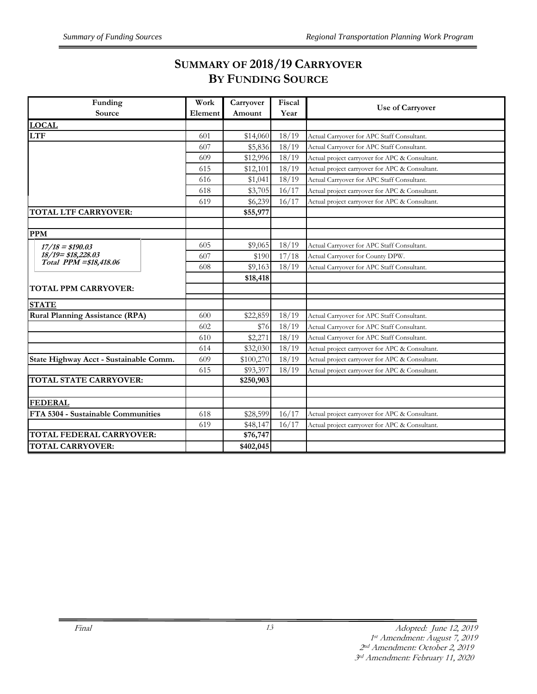## **SUMMARY OF 2018/19 CARRYOVER BY FUNDING SOURCE**

| Funding                                | Work    | Carryover | Fiscal |                                                |
|----------------------------------------|---------|-----------|--------|------------------------------------------------|
| Source                                 | Element | Amount    | Year   | <b>Use of Carryover</b>                        |
| <b>LOCAL</b>                           |         |           |        |                                                |
| <b>LTF</b>                             | 601     | \$14,060  | 18/19  | Actual Carryover for APC Staff Consultant.     |
|                                        | 607     | \$5,836   | 18/19  | Actual Carryover for APC Staff Consultant.     |
|                                        | 609     | \$12,996  | 18/19  | Actual project carryover for APC & Consultant. |
|                                        | 615     | \$12,101  | 18/19  | Actual project carryover for APC & Consultant. |
|                                        | 616     | \$1,041   | 18/19  | Actual Carryover for APC Staff Consultant.     |
|                                        | 618     | \$3,705   | 16/17  | Actual project carryover for APC & Consultant. |
|                                        | 619     | \$6,239   | 16/17  | Actual project carryover for APC & Consultant. |
| <b>TOTAL LTF CARRYOVER:</b>            |         | \$55,977  |        |                                                |
|                                        |         |           |        |                                                |
| <b>PPM</b>                             |         |           |        |                                                |
| $17/18 = $190.03$                      | 605     | \$9,065   | 18/19  | Actual Carryover for APC Staff Consultant.     |
| $18/19 = $18,228.03$                   | 607     | \$190     | 17/18  | Actual Carryover for County DPW.               |
| Total PPM = \$18,418.06                | 608     | \$9,163   | 18/19  | Actual Carryover for APC Staff Consultant.     |
|                                        |         | \$18,418  |        |                                                |
| <b>TOTAL PPM CARRYOVER:</b>            |         |           |        |                                                |
| <b>STATE</b>                           |         |           |        |                                                |
| <b>Rural Planning Assistance (RPA)</b> | 600     | \$22,859  | 18/19  | Actual Carryover for APC Staff Consultant.     |
|                                        | 602     | \$76      | 18/19  | Actual Carryover for APC Staff Consultant.     |
|                                        | 610     | \$2,271   | 18/19  | Actual Carryover for APC Staff Consultant.     |
|                                        | 614     | \$32,030  | 18/19  | Actual project carryover for APC & Consultant. |
| State Highway Acct - Sustainable Comm. | 609     | \$100,270 | 18/19  | Actual project carryover for APC & Consultant. |
|                                        | 615     | \$93,397  | 18/19  | Actual project carryover for APC & Consultant. |
| <b>TOTAL STATE CARRYOVER:</b>          |         | \$250,903 |        |                                                |
|                                        |         |           |        |                                                |
| <b>FEDERAL</b>                         |         |           |        |                                                |
| FTA 5304 - Sustainable Communities     | 618     | \$28,599  | 16/17  | Actual project carryover for APC & Consultant. |
|                                        | 619     | \$48,147  | 16/17  | Actual project carryover for APC & Consultant. |
| TOTAL FEDERAL CARRYOVER:               |         | \$76,747  |        |                                                |
| <b>TOTAL CARRYOVER:</b>                |         | \$402,045 |        |                                                |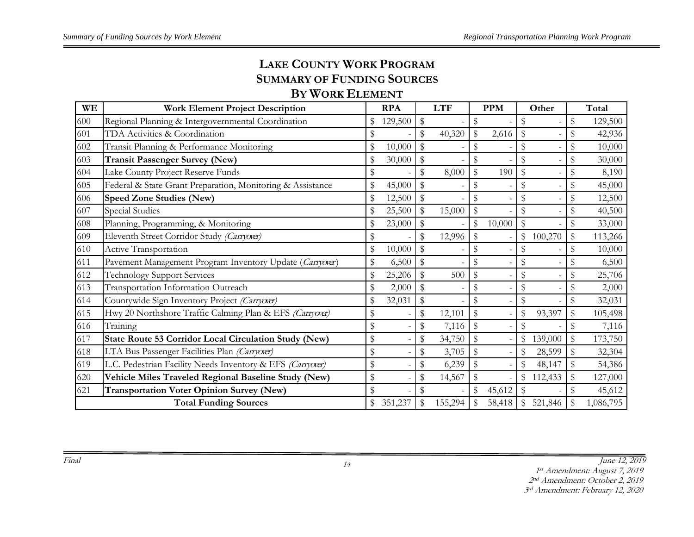# **LAKE COUNTY WORK PROGRAM SUMMARY OF FUNDING SOURCES**

## **BY WORK ELEMENT**

| WE  | <b>Work Element Project Description</b>                      |      | <b>RPA</b> |               | <b>LTF</b> |                           | <b>PPM</b> |               | Other   |               | Total     |
|-----|--------------------------------------------------------------|------|------------|---------------|------------|---------------------------|------------|---------------|---------|---------------|-----------|
| 600 | Regional Planning & Intergovernmental Coordination           |      | 129,500    | \$            |            | \$                        |            | \$            |         | \$            | 129,500   |
| 601 | TDA Activities & Coordination                                | \$   |            | \$            | 40,320     | $\mathbb S$               | 2,616      | \$            |         | \$            | 42,936    |
| 602 | Transit Planning & Performance Monitoring                    | \$   | 10,000     |               |            | \$                        |            | \$            |         | \$            | 10,000    |
| 603 | <b>Transit Passenger Survey (New)</b>                        | \$   | 30,000     | \$            |            | \$                        |            | \$            |         | \$            | 30,000    |
| 604 | Lake County Project Reserve Funds                            | \$   |            | $\mathcal{S}$ | 8,000      | $\mathbb{S}$              | 190        | $\mathcal{S}$ |         | \$            | 8,190     |
| 605 | Federal & State Grant Preparation, Monitoring & Assistance   | \$   | 45,000     | \$            |            | \$                        |            | \$            |         | \$            | 45,000    |
| 606 | <b>Speed Zone Studies (New)</b>                              | \$   | 12,500     | \$            |            | $\frac{1}{2}$             |            | \$            |         | \$            | 12,500    |
| 607 | Special Studies                                              | \$   | 25,500     | \$            | 15,000     | \$                        |            | \$            |         | \$            | 40,500    |
| 608 | Planning, Programming, & Monitoring                          | \$   | 23,000     | \$            |            | $\$\,$                    | 10,000     | \$            |         | \$            | 33,000    |
| 609 | Eleventh Street Corridor Study (Carryorer)                   | \$   |            | \$            | 12,996     | $\mathbb{S}$              |            | \$            | 100,270 | $\mathbb S$   | 113,266   |
| 610 | Active Transportation                                        | \$   | 10,000     | \$            |            | \$                        |            |               |         | \$            | 10,000    |
| 611 | Pavement Management Program Inventory Update (Carryover)     | \$   | 6,500      | \$            |            | $\frac{1}{2}$             |            | \$            |         | \$            | 6,500     |
| 612 | <b>Technology Support Services</b>                           | \$   | 25,206     | \$            | 500        | \$                        |            | \$            |         | \$            | 25,706    |
| 613 | Transportation Information Outreach                          | \$   | 2,000      | \$            |            | \$                        |            | \$            |         | \$            | 2,000     |
| 614 | Countywide Sign Inventory Project (Carryorer)                | \$   | 32,031     | \$            |            | $\mathbb{S}$              |            | \$            |         | \$            | 32,031    |
| 615 | Hwy 20 Northshore Traffic Calming Plan & EFS (Carryover)     | \$   |            | \$            | 12,101     | $\frac{1}{2}$             |            | \$            | 93,397  | \$            | 105,498   |
| 616 | Training                                                     | \$   |            | \$            | 7,116      | $\mathfrak{F}$            |            | \$            |         | \$            | 7,116     |
| 617 | <b>State Route 53 Corridor Local Circulation Study (New)</b> | $\,$ |            | \$            | 34,750     | $\boldsymbol{\mathsf{S}}$ |            | \$            | 139,000 | \$            | 173,750   |
| 618 | LTA Bus Passenger Facilities Plan (Carryover)                | \$   |            | \$            | 3,705      | $\sqrt[6]{\frac{1}{2}}$   |            | \$            | 28,599  | \$            | 32,304    |
| 619 | L.C. Pedestrian Facility Needs Inventory & EFS (Carryover)   | \$   |            | \$            | 6,239      | $\mathbb S$               |            |               | 48,147  | ${\mathbb S}$ | 54,386    |
| 620 | Vehicle Miles Traveled Regional Baseline Study (New)         | \$   |            | \$            | 14,567     | \$                        |            | \$            | 112,433 | \$            | 127,000   |
| 621 | <b>Transportation Voter Opinion Survey (New)</b>             | \$   |            | \$            |            | $\$\,$                    | 45,612     | \$            |         | \$            | 45,612    |
|     | <b>Total Funding Sources</b>                                 |      | 351,237    |               | 155,294    |                           | 58,418     |               | 521,846 |               | 1,086,795 |

Final June 12, 2019

st Amendment: August 7, 2019

nd Amendment: October 2, 2019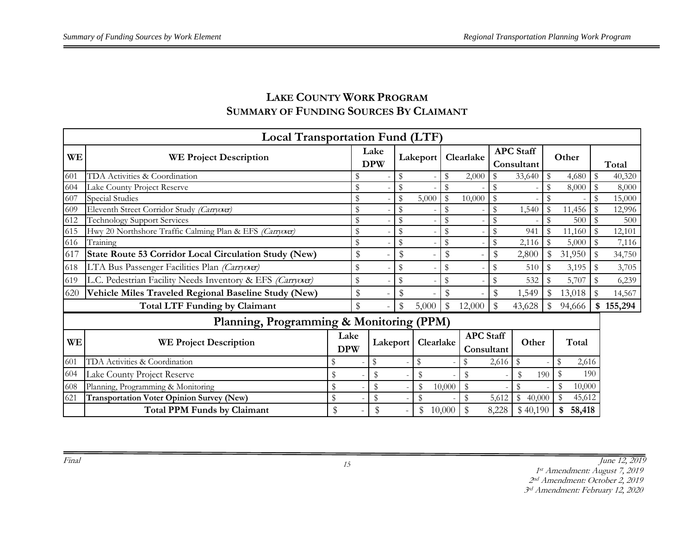# **LAKE COUNTY WORK PROGRAM SUMMARY OF FUNDING SOURCES BY CLAIMANT**

|           | <b>Local Transportation Fund (LTF)</b>                       |                    |                    |                |               |             |                                |              |                                |               |              |              |         |
|-----------|--------------------------------------------------------------|--------------------|--------------------|----------------|---------------|-------------|--------------------------------|--------------|--------------------------------|---------------|--------------|--------------|---------|
| <b>WE</b> | <b>WE Project Description</b>                                |                    | Lake<br><b>DPW</b> |                | Lakeport      |             | Clearlake                      |              | <b>APC</b> Staff<br>Consultant |               | Other        |              | Total   |
| 601       | TDA Activities & Coordination                                |                    | \$                 | \$             |               |             | 2,000                          | \$           | 33,640                         | \$            | 4,680        | $\mathbb S$  | 40,320  |
| 604       | Lake County Project Reserve                                  |                    | \$                 | $\mathbb S$    |               |             |                                | \$           |                                | \$            | 8,000        |              | 8,000   |
| 607       | <b>Special Studies</b>                                       |                    | \$                 | $\mathbb{S}$   | 5,000         |             | 10,000                         | \$           |                                |               |              |              | 15,000  |
| 609       | Eleventh Street Corridor Study (Carryorer)                   |                    | \$                 | \$             |               |             |                                | $\mathbb{S}$ | 1,540                          | ${\mathbb S}$ | 11,456       |              | 12,996  |
| 612       | <b>Technology Support Services</b>                           |                    | \$                 | \$             |               |             |                                | \$           |                                | \$            | 500          | $\mathbb S$  | 500     |
| 615       | Hwy 20 Northshore Traffic Calming Plan & EFS (Carryover)     |                    | \$                 | \$             |               | \$          |                                | \$           | 941                            | $\mathbb S$   | 11,160       | $\mathbb S$  | 12,101  |
| 616       | Training                                                     |                    | \$                 | ${\mathbb S}$  |               | $\$$        |                                | \$           | 2,116                          | $\mathbb S$   | 5,000        | $\mathbb{S}$ | 7,116   |
| 617       | <b>State Route 53 Corridor Local Circulation Study (New)</b> |                    | \$                 | $\mathfrak{P}$ |               | \$          |                                | \$           | 2,800                          | \$            | 31,950       |              | 34,750  |
| 618       | LTA Bus Passenger Facilities Plan (Carryover)                |                    | \$                 | \$             |               | \$          |                                | \$           | 510                            | \$            | 3,195        | -\$          | 3,705   |
| 619       | L.C. Pedestrian Facility Needs Inventory & EFS (Carryorer)   |                    | \$                 | \$             |               |             |                                | \$           | 532                            | \$            | 5,707        | S            | 6,239   |
| 620       | Vehicle Miles Traveled Regional Baseline Study (New)         |                    | \$                 | $\mathbb{S}$   |               | $\mathbb S$ |                                | $\mathbb{S}$ | 1,549                          | \$            | 13,018       |              | 14,567  |
|           | <b>Total LTF Funding by Claimant</b>                         |                    | \$                 | \$             | 5,000         | \$          | 12,000                         | $\mathbb{S}$ | 43,628                         | $\mathbb{S}$  | 94,666       | -\$          | 155,294 |
|           | Planning, Programming & Monitoring (PPM)                     |                    |                    |                |               |             |                                |              |                                |               |              |              |         |
| <b>WE</b> | <b>WE Project Description</b>                                | Lake<br><b>DPW</b> | Lakeport           |                | Clearlake     |             | <b>APC</b> Staff<br>Consultant |              | Other                          |               | Total        |              |         |
| 601       | TDA Activities & Coordination                                | S                  | \$                 |                | \$            |             |                                | 2,616        | \$                             |               | \$<br>2,616  |              |         |
| 604       | Lake County Project Reserve                                  | \$                 | \$                 |                | \$            |             |                                |              | \$                             | 190           |              | 190          |         |
| 608       | Planning, Programming & Monitoring                           | \$                 | \$                 |                | $\mathcal{S}$ | 10,000      | $\sqrt[6]{\frac{1}{2}}$        |              | \$                             |               | \$<br>10,000 |              |         |
| 621       | <b>Transportation Voter Opinion Survey (New)</b>             | \$                 | \$                 |                | \$            |             | \$                             | 5,612        | $\mathbb{S}$<br>40,000         |               | 45,612       |              |         |
|           | <b>Total PPM Funds by Claimant</b>                           | \$                 |                    |                | \$            | 10,000      |                                | 8,228        | \$40,190                       |               | 58,418       |              |         |

Final June 12, 2019

1 st Amendment: August 7, 2019

2 nd Amendment: October 2, 2019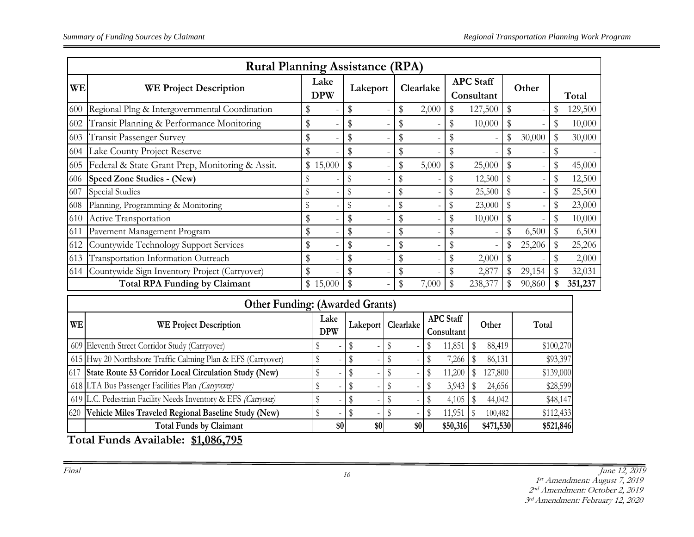|           | <b>Rural Planning Assistance (RPA)</b>          |                           |                  |                 |           |       |                  |         |            |        |   |         |  |       |
|-----------|-------------------------------------------------|---------------------------|------------------|-----------------|-----------|-------|------------------|---------|------------|--------|---|---------|--|-------|
| <b>WE</b> | <b>WE Project Description</b>                   | Lake<br><b>DPW</b>        |                  | Lakeport        | Clearlake |       | <b>APC</b> Staff |         | Consultant |        |   | Other   |  | Total |
| 600       | Regional Plng & Intergovernmental Coordination  | \$                        | \$               |                 | \$        | 2,000 | \$               | 127,500 | \$         |        | S | 129,500 |  |       |
| 602       | Transit Planning & Performance Monitoring       | \$                        | \$               |                 | \$        |       | \$               | 10,000  | S          |        | S | 10,000  |  |       |
| 603       | <b>Transit Passenger Survey</b>                 | \$                        | \$               |                 | \$        |       |                  |         | \$         | 30,000 |   | 30,000  |  |       |
| 604       | Lake County Project Reserve                     | \$                        | \$               |                 | \$        |       |                  |         |            |        |   |         |  |       |
| 605       | Federal & State Grant Prep, Monitoring & Assit. | \$15,000                  | \$               |                 | \$        | 5,000 |                  | 25,000  |            |        |   | 45,000  |  |       |
| 606       | Speed Zone Studies - (New)                      |                           | \$               |                 | \$        |       | \$               | 12,500  |            |        |   | 12,500  |  |       |
| 607       | Special Studies                                 |                           | \$               |                 | \$        |       | \$               | 25,500  |            |        |   | 25,500  |  |       |
| 608       | Planning, Programming & Monitoring              |                           | \$               |                 | \$        |       | \$               | 23,000  |            |        |   | 23,000  |  |       |
| 610       | Active Transportation                           |                           | \$               |                 | \$        |       |                  | 10,000  |            |        |   | 10,000  |  |       |
| 611       | Pavement Management Program                     | \$                        | \$               |                 | \$        |       |                  |         | \$         | 6,500  |   | 6,500   |  |       |
| 612       | Countywide Technology Support Services          | \$                        | \$               |                 | \$        |       |                  |         |            | 25,206 |   | 25,206  |  |       |
| 613       | Transportation Information Outreach             | \$                        | \$               |                 | \$        |       | \$               | 2,000   |            |        |   | 2,000   |  |       |
| 614       | Countywide Sign Inventory Project (Carryover)   | \$                        |                  |                 | \$        |       |                  | 2,877   |            | 29,154 |   | 32,031  |  |       |
|           | <b>Total RPA Funding by Claimant</b>            | \$15,000                  | \$               |                 | \$        | 7,000 |                  | 238,377 |            | 90,860 |   | 351,237 |  |       |
|           | $\mathbf{C}$<br><b>T</b>                        | $\cdot$<br>$\overline{A}$ | 1.1 <sub>O</sub> | $\cdot$ $\cdot$ |           |       |                  |         |            |        |   |         |  |       |

|           | <b>Other Funding: (Awarded Grants)</b>                        |                    |                       |     |                                |           |           |  |  |  |  |  |  |
|-----------|---------------------------------------------------------------|--------------------|-----------------------|-----|--------------------------------|-----------|-----------|--|--|--|--|--|--|
| <b>WE</b> | <b>WE Project Description</b>                                 | Lake<br><b>DPW</b> | Clearlake<br>Lakeport |     | <b>APC Staff</b><br>Consultant | Other     | Total     |  |  |  |  |  |  |
|           | 609 Eleventh Street Corridor Study (Carryover)                | $\sim$             |                       |     | 11,851                         | 88,419    | \$100,270 |  |  |  |  |  |  |
|           | 615 Hwy 20 Northshore Traffic Calming Plan & EFS (Carryover)  |                    |                       |     | 7,266                          | 86,131    | \$93,397  |  |  |  |  |  |  |
|           | 617 State Route 53 Corridor Local Circulation Study (New)     |                    |                       |     | 11,200                         | 127,800   | \$139,000 |  |  |  |  |  |  |
|           | 618 LTA Bus Passenger Facilities Plan (Carrywer)              |                    |                       |     | 3,943                          | 24,656    | \$28,599  |  |  |  |  |  |  |
|           | 619 L.C. Pedestrian Facility Needs Inventory & EFS (Carryora) |                    |                       |     | 4,105                          | 44,042    | \$48,147  |  |  |  |  |  |  |
|           | 620 Vehicle Miles Traveled Regional Baseline Study (New)      |                    |                       |     | 11,951                         | 100,482   | \$112,433 |  |  |  |  |  |  |
|           | <b>Total Funds by Claimant</b>                                | \$0                | \$0                   | \$0 | \$50,316                       | \$471,530 | \$521,846 |  |  |  |  |  |  |

**Total Funds Available: \$1,086,795**

st Amendment: August 7, 2019

nd Amendment: October 2, 2019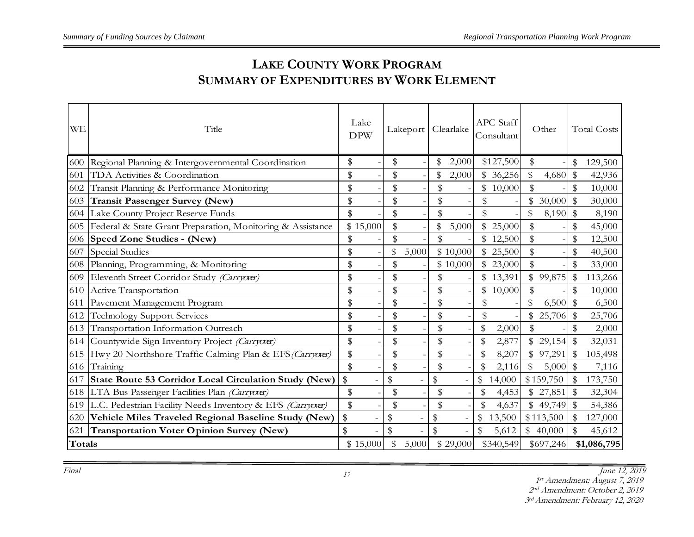# **LAKE COUNTY WORK PROGRAM SUMMARY OF EXPENDITURES BY WORK ELEMENT**

| <b>WE</b>     | Title                                                      | Lake<br><b>DPW</b> |          | Lakeport      |       | Clearlake   |          | <b>APC</b> Staff<br>Consultant |           | Other       |           |              | <b>Total Costs</b> |
|---------------|------------------------------------------------------------|--------------------|----------|---------------|-------|-------------|----------|--------------------------------|-----------|-------------|-----------|--------------|--------------------|
| 600           | Regional Planning & Intergovernmental Coordination         | \$                 |          | \$            |       | \$          | 2,000    |                                | \$127,500 | \$          |           | \$           | 129,500            |
| 601           | TDA Activities & Coordination                              | \$                 |          | \$            |       |             | 2,000    |                                | \$36,256  | \$          | 4,680     | \$           | 42,936             |
| 602           | Transit Planning & Performance Monitoring                  | \$                 |          | \$            |       | \$          |          |                                | \$10,000  | \$          |           | \$           | 10,000             |
| 603           | Transit Passenger Survey (New)                             | \$                 |          | \$            |       | \$          |          | \$                             |           |             | 30,000    | $\mathbb S$  | 30,000             |
|               | 604 Lake County Project Reserve Funds                      | \$                 |          | $\frac{1}{2}$ |       | \$          |          | \$                             |           | \$          | 8,190     | $\mathbb{S}$ | 8,190              |
| 605           | Federal & State Grant Preparation, Monitoring & Assistance |                    | \$15,000 | \$            |       |             | 5,000    |                                | 25,000    | \$          |           | \$           | 45,000             |
| 606           | <b>Speed Zone Studies - (New)</b>                          | \$                 |          | \$            |       | \$          |          |                                | 12,500    | \$          |           | \$           | 12,500             |
| 607           | Special Studies                                            | \$                 |          | \$            | 5,000 |             | \$10,000 |                                | \$25,500  | $\mathbb S$ |           | \$           | 40,500             |
| 608           | Planning, Programming, & Monitoring                        | \$                 |          | \$            |       |             | \$10,000 |                                | \$23,000  | \$          |           | \$           | 33,000             |
| 609           | Eleventh Street Corridor Study (Carryora)                  | \$                 |          | \$            |       | \$          |          |                                | \$13,391  |             | \$99,875  | \$           | 113,266            |
| 610           | Active Transportation                                      | \$                 |          | \$            |       | \$          |          | \$                             | 10,000    | \$          |           | \$           | 10,000             |
| 611           | Pavement Management Program                                | \$                 |          | \$            |       | \$          |          | \$                             |           | \$          | 6,500     | $\$\$        | 6,500              |
| 612           | <b>Technology Support Services</b>                         | \$                 |          | \$            |       | \$          |          | \$                             |           | \$          | 25,706    | \$           | 25,706             |
|               | 613 Transportation Information Outreach                    | \$                 |          | \$            |       | \$          |          |                                | 2,000     | \$          |           | \$           | 2,000              |
|               | 614 Countywide Sign Inventory Project (Carryora)           | \$                 |          | \$            |       | \$          |          |                                | 2,877     |             | \$29,154  | \$           | 32,031             |
| 615           | Hwy 20 Northshore Traffic Calming Plan & EFS (Carrycor)    | \$                 |          | \$            |       | \$          |          |                                | 8,207     |             | \$97,291  | \$           | 105,498            |
| 616           | Training                                                   | \$                 |          | \$            |       | \$          |          |                                | 2,116     | $\mathbb S$ | 5,000     | \$           | 7,116              |
| 617           | State Route 53 Corridor Local Circulation Study (New)      | $\$\,$             |          | $\frac{1}{2}$ |       | $\mathbb S$ |          | \$                             | 14,000    |             | \$159,750 | $\mathbb{S}$ | 173,750            |
|               | 618 LTA Bus Passenger Facilities Plan (Carryorar)          | \$                 |          | \$            |       | \$          |          |                                | 4,453     |             | \$27,851  | \$           | 32,304             |
| 619           | L.C. Pedestrian Facility Needs Inventory & EFS (Carryora)  | \$                 |          | \$            |       | \$          |          |                                | 4,637     |             | \$49,749  | \$           | 54,386             |
| 620           | Vehicle Miles Traveled Regional Baseline Study (New)       | $\,$               |          | $\,$          |       | \$          |          | \$                             | 13,500    |             | \$113,500 | \$           | 127,000            |
| 621           | <b>Transportation Voter Opinion Survey (New)</b>           | \$                 |          | $\frac{1}{2}$ |       | $\mathbb S$ |          | \$                             | 5,612     |             | \$40,000  | \$           | 45,612             |
| <b>Totals</b> |                                                            |                    | \$15,000 | \$            | 5,000 |             | \$29,000 |                                | \$340,549 |             | \$697,246 |              | \$1,086,795        |

Final June 12, 2019

st Amendment: August 7, 2019

nd Amendment: October 2, 2019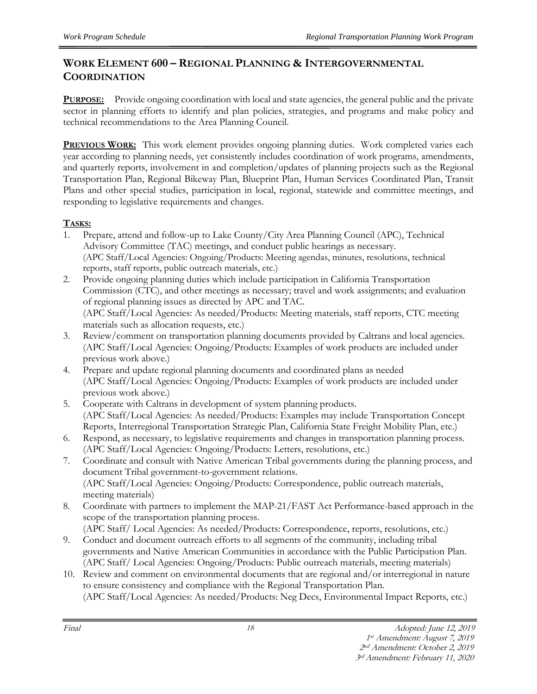## **WORK ELEMENT 600 – REGIONAL PLANNING & INTERGOVERNMENTAL COORDINATION**

**PURPOSE:** Provide ongoing coordination with local and state agencies, the general public and the private sector in planning efforts to identify and plan policies, strategies, and programs and make policy and technical recommendations to the Area Planning Council.

**PREVIOUS WORK:** This work element provides ongoing planning duties. Work completed varies each year according to planning needs, yet consistently includes coordination of work programs, amendments, and quarterly reports, involvement in and completion/updates of planning projects such as the Regional Transportation Plan, Regional Bikeway Plan, Blueprint Plan, Human Services Coordinated Plan, Transit Plans and other special studies, participation in local, regional, statewide and committee meetings, and responding to legislative requirements and changes.

## **TASKS:**

- 1. Prepare, attend and follow-up to Lake County/City Area Planning Council (APC), Technical Advisory Committee (TAC) meetings, and conduct public hearings as necessary. (APC Staff/Local Agencies: Ongoing/Products: Meeting agendas, minutes, resolutions, technical reports, staff reports, public outreach materials, etc.)
- 2. Provide ongoing planning duties which include participation in California Transportation Commission (CTC), and other meetings as necessary; travel and work assignments; and evaluation of regional planning issues as directed by APC and TAC. (APC Staff/Local Agencies: As needed/Products: Meeting materials, staff reports, CTC meeting materials such as allocation requests, etc.)
- 3. Review/comment on transportation planning documents provided by Caltrans and local agencies. (APC Staff/Local Agencies: Ongoing/Products: Examples of work products are included under previous work above.)
- 4. Prepare and update regional planning documents and coordinated plans as needed (APC Staff/Local Agencies: Ongoing/Products: Examples of work products are included under previous work above.)
- 5. Cooperate with Caltrans in development of system planning products. (APC Staff/Local Agencies: As needed/Products: Examples may include Transportation Concept Reports, Interregional Transportation Strategic Plan, California State Freight Mobility Plan, etc.)
- 6. Respond, as necessary, to legislative requirements and changes in transportation planning process. (APC Staff/Local Agencies: Ongoing/Products: Letters, resolutions, etc.)
- 7. Coordinate and consult with Native American Tribal governments during the planning process, and document Tribal government-to-government relations. (APC Staff/Local Agencies: Ongoing/Products: Correspondence, public outreach materials, meeting materials)
- 8. Coordinate with partners to implement the MAP-21/FAST Act Performance-based approach in the scope of the transportation planning process.
	- (APC Staff/ Local Agencies: As needed/Products: Correspondence, reports, resolutions, etc.)
- 9. Conduct and document outreach efforts to all segments of the community, including tribal governments and Native American Communities in accordance with the Public Participation Plan. (APC Staff/ Local Agencies: Ongoing/Products: Public outreach materials, meeting materials)
- 10. Review and comment on environmental documents that are regional and/or interregional in nature to ensure consistency and compliance with the Regional Transportation Plan.

<sup>(</sup>APC Staff/Local Agencies: As needed/Products: Neg Decs, Environmental Impact Reports, etc.)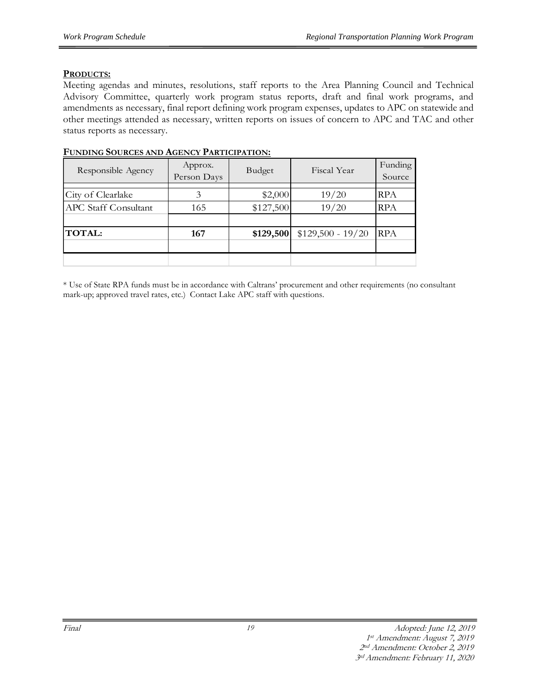#### **PRODUCTS:**

Meeting agendas and minutes, resolutions, staff reports to the Area Planning Council and Technical Advisory Committee, quarterly work program status reports, draft and final work programs, and amendments as necessary, final report defining work program expenses, updates to APC on statewide and other meetings attended as necessary, written reports on issues of concern to APC and TAC and other status reports as necessary.

| Responsible Agency          | Approx.<br>Person Days | Budget    | Fiscal Year        | Funding<br>Source |
|-----------------------------|------------------------|-----------|--------------------|-------------------|
|                             |                        |           |                    |                   |
| City of Clearlake           | 3                      | \$2,000   | 19/20              | RPA               |
| <b>APC Staff Consultant</b> | 165                    | \$127,500 | 19/20              | RPA               |
|                             |                        |           |                    |                   |
| <b>TOTAL:</b>               | 167                    | \$129,500 | $$129,500 - 19/20$ | <b>RPA</b>        |
|                             |                        |           |                    |                   |
|                             |                        |           |                    |                   |

#### **FUNDING SOURCES AND AGENCY PARTICIPATION:**

\* Use of State RPA funds must be in accordance with Caltrans' procurement and other requirements (no consultant mark-up; approved travel rates, etc.) Contact Lake APC staff with questions.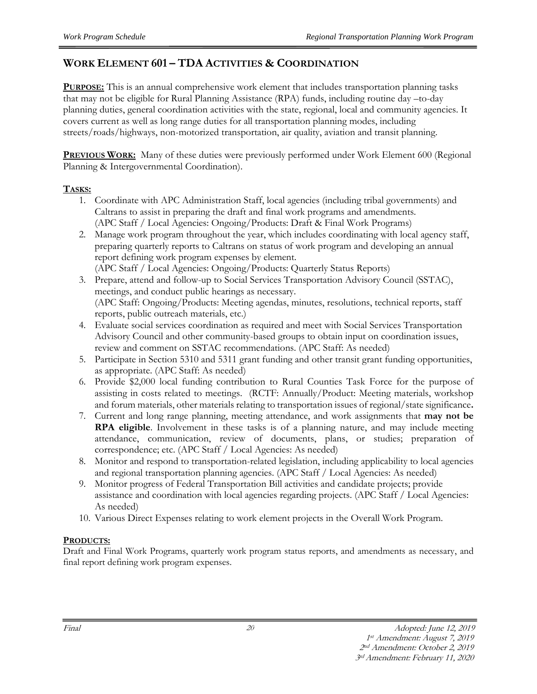## **WORK ELEMENT 601 – TDA ACTIVITIES & COORDINATION**

**PURPOSE:** This is an annual comprehensive work element that includes transportation planning tasks that may not be eligible for Rural Planning Assistance (RPA) funds, including routine day –to-day planning duties, general coordination activities with the state, regional, local and community agencies. It covers current as well as long range duties for all transportation planning modes, including streets/roads/highways, non-motorized transportation, air quality, aviation and transit planning.

**PREVIOUS WORK:** Many of these duties were previously performed under Work Element 600 (Regional Planning & Intergovernmental Coordination).

#### **TASKS:**

- 1. Coordinate with APC Administration Staff, local agencies (including tribal governments) and Caltrans to assist in preparing the draft and final work programs and amendments. (APC Staff / Local Agencies: Ongoing/Products: Draft & Final Work Programs)
- 2. Manage work program throughout the year, which includes coordinating with local agency staff, preparing quarterly reports to Caltrans on status of work program and developing an annual report defining work program expenses by element. (APC Staff / Local Agencies: Ongoing/Products: Quarterly Status Reports)
- 3. Prepare, attend and follow-up to Social Services Transportation Advisory Council (SSTAC), meetings, and conduct public hearings as necessary. (APC Staff: Ongoing/Products: Meeting agendas, minutes, resolutions, technical reports, staff reports, public outreach materials, etc.)
- 4. Evaluate social services coordination as required and meet with Social Services Transportation Advisory Council and other community-based groups to obtain input on coordination issues, review and comment on SSTAC recommendations. (APC Staff: As needed)
- 5. Participate in Section 5310 and 5311 grant funding and other transit grant funding opportunities, as appropriate. (APC Staff: As needed)
- 6. Provide \$2,000 local funding contribution to Rural Counties Task Force for the purpose of assisting in costs related to meetings. (RCTF: Annually/Product: Meeting materials, workshop and forum materials, other materials relating to transportation issues of regional/state significance**.**
- 7. Current and long range planning, meeting attendance, and work assignments that **may not be RPA eligible**. Involvement in these tasks is of a planning nature, and may include meeting attendance, communication, review of documents, plans, or studies; preparation of correspondence; etc. (APC Staff / Local Agencies: As needed)
- 8. Monitor and respond to transportation-related legislation, including applicability to local agencies and regional transportation planning agencies. (APC Staff / Local Agencies: As needed)
- 9. Monitor progress of Federal Transportation Bill activities and candidate projects; provide assistance and coordination with local agencies regarding projects. (APC Staff / Local Agencies: As needed)
- 10. Various Direct Expenses relating to work element projects in the Overall Work Program.

#### **PRODUCTS:**

Draft and Final Work Programs, quarterly work program status reports, and amendments as necessary, and final report defining work program expenses.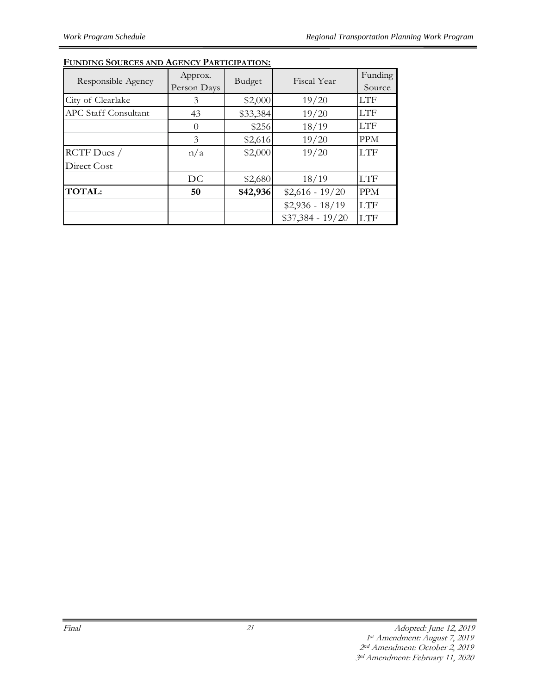| Responsible Agency   | Approx.<br>Person Days | Budget   | Fiscal Year       | Funding<br>Source |
|----------------------|------------------------|----------|-------------------|-------------------|
| City of Clearlake    | 3                      | \$2,000  | 19/20             | <b>LTF</b>        |
| APC Staff Consultant | 43                     | \$33,384 | 19/20             | <b>LTF</b>        |
|                      | $\Omega$               | \$256    | 18/19             | <b>LTF</b>        |
|                      | 3                      | \$2,616  | 19/20             | <b>PPM</b>        |
| RCTF Dues /          | n/a                    | \$2,000  | 19/20             | <b>LTF</b>        |
| Direct Cost          |                        |          |                   |                   |
|                      | DC                     | \$2,680  | 18/19             | LTF               |
| <b>TOTAL:</b>        | 50                     | \$42,936 | $$2,616 - 19/20$  | <b>PPM</b>        |
|                      |                        |          | $$2,936 - 18/19$  | <b>LTF</b>        |
|                      |                        |          | $$37,384 - 19/20$ | <b>LTF</b>        |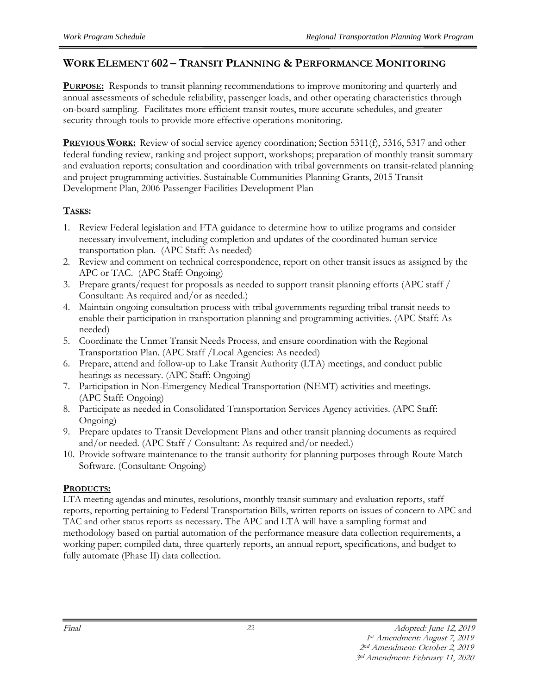### **WORK ELEMENT 602 – TRANSIT PLANNING & PERFORMANCE MONITORING**

**PURPOSE:** Responds to transit planning recommendations to improve monitoring and quarterly and annual assessments of schedule reliability, passenger loads, and other operating characteristics through on-board sampling. Facilitates more efficient transit routes, more accurate schedules, and greater security through tools to provide more effective operations monitoring.

**PREVIOUS WORK:** Review of social service agency coordination; Section 5311(f), 5316, 5317 and other federal funding review, ranking and project support, workshops; preparation of monthly transit summary and evaluation reports; consultation and coordination with tribal governments on transit-related planning and project programming activities. Sustainable Communities Planning Grants, 2015 Transit Development Plan, 2006 Passenger Facilities Development Plan

#### **TASKS:**

- 1. Review Federal legislation and FTA guidance to determine how to utilize programs and consider necessary involvement, including completion and updates of the coordinated human service transportation plan. (APC Staff: As needed)
- 2. Review and comment on technical correspondence, report on other transit issues as assigned by the APC or TAC. (APC Staff: Ongoing)
- 3. Prepare grants/request for proposals as needed to support transit planning efforts (APC staff / Consultant: As required and/or as needed.)
- 4. Maintain ongoing consultation process with tribal governments regarding tribal transit needs to enable their participation in transportation planning and programming activities. (APC Staff: As needed)
- 5. Coordinate the Unmet Transit Needs Process, and ensure coordination with the Regional Transportation Plan. (APC Staff /Local Agencies: As needed)
- 6. Prepare, attend and follow-up to Lake Transit Authority (LTA) meetings, and conduct public hearings as necessary. (APC Staff: Ongoing)
- 7. Participation in Non-Emergency Medical Transportation (NEMT) activities and meetings. (APC Staff: Ongoing)
- 8. Participate as needed in Consolidated Transportation Services Agency activities. (APC Staff: Ongoing)
- 9. Prepare updates to Transit Development Plans and other transit planning documents as required and/or needed. (APC Staff / Consultant: As required and/or needed.)
- 10. Provide software maintenance to the transit authority for planning purposes through Route Match Software. (Consultant: Ongoing)

#### **PRODUCTS:**

LTA meeting agendas and minutes, resolutions, monthly transit summary and evaluation reports, staff reports, reporting pertaining to Federal Transportation Bills, written reports on issues of concern to APC and TAC and other status reports as necessary. The APC and LTA will have a sampling format and methodology based on partial automation of the performance measure data collection requirements, a working paper; compiled data, three quarterly reports, an annual report, specifications, and budget to fully automate (Phase II) data collection.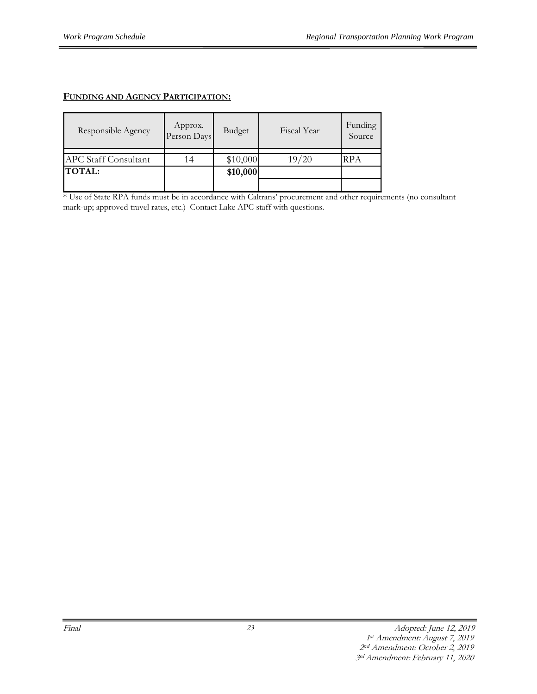#### **FUNDING AND AGENCY PARTICIPATION:**

| Responsible Agency          | Approx.<br>Person Days | Budget   | Fiscal Year | Funding<br>Source |
|-----------------------------|------------------------|----------|-------------|-------------------|
| <b>APC Staff Consultant</b> | 14                     | \$10,000 | 19/20       | <b>RPA</b>        |
| <b>TOTAL:</b>               |                        | \$10,000 |             |                   |
|                             |                        |          |             |                   |

\* Use of State RPA funds must be in accordance with Caltrans' procurement and other requirements (no consultant mark-up; approved travel rates, etc.) Contact Lake APC staff with questions.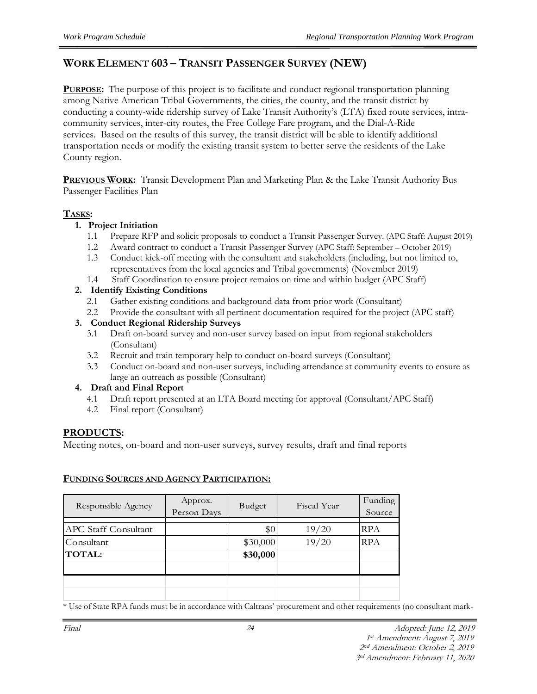### **WORK ELEMENT 603 – TRANSIT PASSENGER SURVEY (NEW)**

**PURPOSE:** The purpose of this project is to facilitate and conduct regional transportation planning among Native American Tribal Governments, the cities, the county, and the transit district by conducting a county-wide ridership survey of Lake Transit Authority's (LTA) fixed route services, intracommunity services, inter-city routes, the Free College Fare program, and the Dial-A-Ride services. Based on the results of this survey, the transit district will be able to identify additional transportation needs or modify the existing transit system to better serve the residents of the Lake County region.

**PREVIOUS WORK:** Transit Development Plan and Marketing Plan & the Lake Transit Authority Bus Passenger Facilities Plan

#### **TASKS:**

#### **1. Project Initiation**

- 1.1 Prepare RFP and solicit proposals to conduct a Transit Passenger Survey. (APC Staff: August 2019)
- 1.2 Award contract to conduct a Transit Passenger Survey (APC Staff: September October 2019)
- 1.3 Conduct kick-off meeting with the consultant and stakeholders (including, but not limited to, representatives from the local agencies and Tribal governments) (November 2019)
- 1.4 Staff Coordination to ensure project remains on time and within budget (APC Staff)

#### **2. Identify Existing Conditions**

- 2.1 Gather existing conditions and background data from prior work (Consultant)
- 2.2 Provide the consultant with all pertinent documentation required for the project (APC staff)

#### **3. Conduct Regional Ridership Surveys**

- 3.1 Draft on-board survey and non-user survey based on input from regional stakeholders (Consultant)
- 3.2 Recruit and train temporary help to conduct on-board surveys (Consultant)
- 3.3 Conduct on-board and non-user surveys, including attendance at community events to ensure as large an outreach as possible (Consultant)

#### **4. Draft and Final Report**

- 4.1 Draft report presented at an LTA Board meeting for approval (Consultant/APC Staff)
- 4.2 Final report (Consultant)

#### **PRODUCTS:**

Meeting notes, on-board and non-user surveys, survey results, draft and final reports

#### **FUNDING SOURCES AND AGENCY PARTICIPATION:**

| Responsible Agency          | Approx.<br>Person Days | Budget   | Fiscal Year | Funding<br>Source |
|-----------------------------|------------------------|----------|-------------|-------------------|
| <b>APC Staff Consultant</b> |                        | \$0      | 19/20       | <b>RPA</b>        |
| Consultant                  |                        | \$30,000 | 19/20       | <b>RPA</b>        |
| <b>TOTAL:</b>               |                        | \$30,000 |             |                   |
|                             |                        |          |             |                   |
|                             |                        |          |             |                   |
|                             |                        |          |             |                   |

\* Use of State RPA funds must be in accordance with Caltrans' procurement and other requirements (no consultant mark-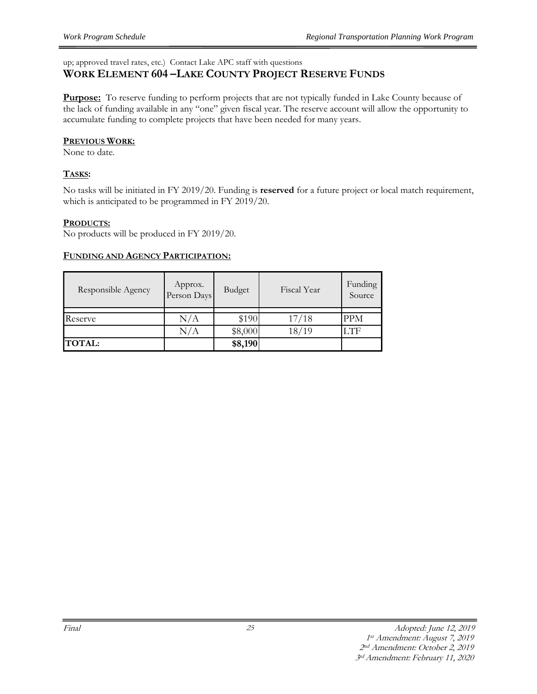up; approved travel rates, etc.) Contact Lake APC staff with questions

#### **WORK ELEMENT 604 –LAKE COUNTY PROJECT RESERVE FUNDS**

**Purpose:** To reserve funding to perform projects that are not typically funded in Lake County because of the lack of funding available in any "one" given fiscal year. The reserve account will allow the opportunity to accumulate funding to complete projects that have been needed for many years.

#### **PREVIOUS WORK:**

None to date.

#### **TASKS:**

No tasks will be initiated in FY 2019/20. Funding is **reserved** for a future project or local match requirement, which is anticipated to be programmed in FY 2019/20.

#### **PRODUCTS:**

No products will be produced in FY 2019/20.

#### **FUNDING AND AGENCY PARTICIPATION:**

| Responsible Agency | Approx.<br>Person Days | Budget  | Fiscal Year | Funding<br>Source |
|--------------------|------------------------|---------|-------------|-------------------|
| Reserve            | N/A                    | \$190   | 17/18       | <b>PPM</b>        |
|                    | $\rm N/A$              | \$8,000 | 18/19       | LTF               |
| <b>TOTAL:</b>      |                        | \$8,190 |             |                   |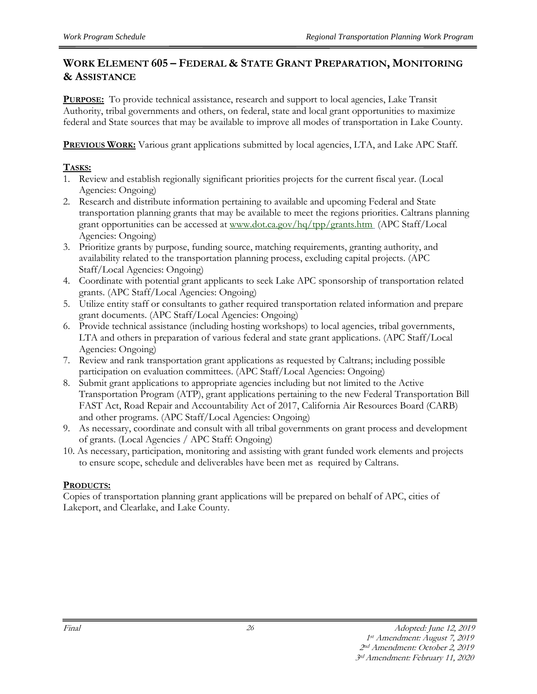#### **WORK ELEMENT 605 – FEDERAL & STATE GRANT PREPARATION, MONITORING & ASSISTANCE**

**PURPOSE:** To provide technical assistance, research and support to local agencies, Lake Transit Authority, tribal governments and others, on federal, state and local grant opportunities to maximize federal and State sources that may be available to improve all modes of transportation in Lake County.

**PREVIOUS WORK:** Various grant applications submitted by local agencies, LTA, and Lake APC Staff.

#### **TASKS:**

- 1. Review and establish regionally significant priorities projects for the current fiscal year. (Local Agencies: Ongoing)
- 2. Research and distribute information pertaining to available and upcoming Federal and State transportation planning grants that may be available to meet the regions priorities. Caltrans planning grant opportunities can be accessed at [www.dot.ca.gov/hq/tpp/grants.htm](http://www.dot.ca.gov/hq/tpp/grants.htm) (APC Staff/Local Agencies: Ongoing)
- 3. Prioritize grants by purpose, funding source, matching requirements, granting authority, and availability related to the transportation planning process, excluding capital projects. (APC Staff/Local Agencies: Ongoing)
- 4. Coordinate with potential grant applicants to seek Lake APC sponsorship of transportation related grants. (APC Staff/Local Agencies: Ongoing)
- 5. Utilize entity staff or consultants to gather required transportation related information and prepare grant documents. (APC Staff/Local Agencies: Ongoing)
- 6. Provide technical assistance (including hosting workshops) to local agencies, tribal governments, LTA and others in preparation of various federal and state grant applications. (APC Staff/Local Agencies: Ongoing)
- 7. Review and rank transportation grant applications as requested by Caltrans; including possible participation on evaluation committees. (APC Staff/Local Agencies: Ongoing)
- 8. Submit grant applications to appropriate agencies including but not limited to the Active Transportation Program (ATP), grant applications pertaining to the new Federal Transportation Bill FAST Act, Road Repair and Accountability Act of 2017, California Air Resources Board (CARB) and other programs. (APC Staff/Local Agencies: Ongoing)
- 9. As necessary, coordinate and consult with all tribal governments on grant process and development of grants. (Local Agencies / APC Staff: Ongoing)
- 10. As necessary, participation, monitoring and assisting with grant funded work elements and projects to ensure scope, schedule and deliverables have been met as required by Caltrans.

#### **PRODUCTS:**

Copies of transportation planning grant applications will be prepared on behalf of APC, cities of Lakeport, and Clearlake, and Lake County.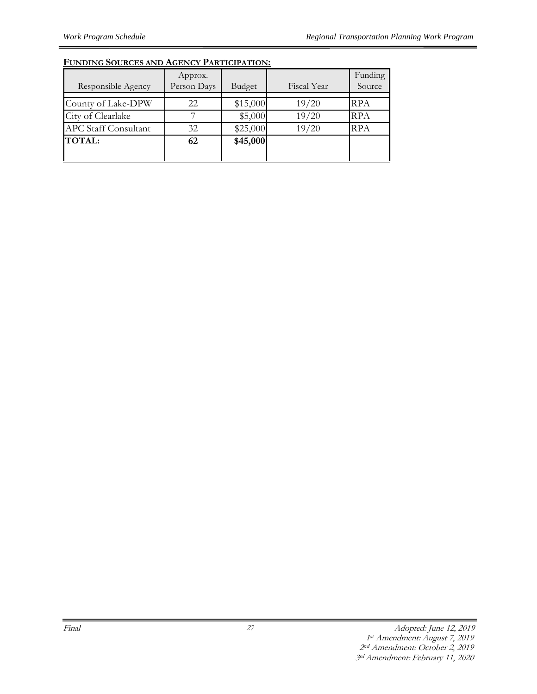|                             | Approx.     |          |             | Funding    |
|-----------------------------|-------------|----------|-------------|------------|
| Responsible Agency          | Person Days | Budget   | Fiscal Year | Source     |
| County of Lake-DPW          | 22          | \$15,000 | 19/20       | <b>RPA</b> |
| City of Clearlake           |             | \$5,000  | 19/20       | <b>RPA</b> |
| <b>APC Staff Consultant</b> | 32          | \$25,000 | 19/20       | <b>RPA</b> |
| <b>TOTAL:</b>               | 62          | \$45,000 |             |            |
|                             |             |          |             |            |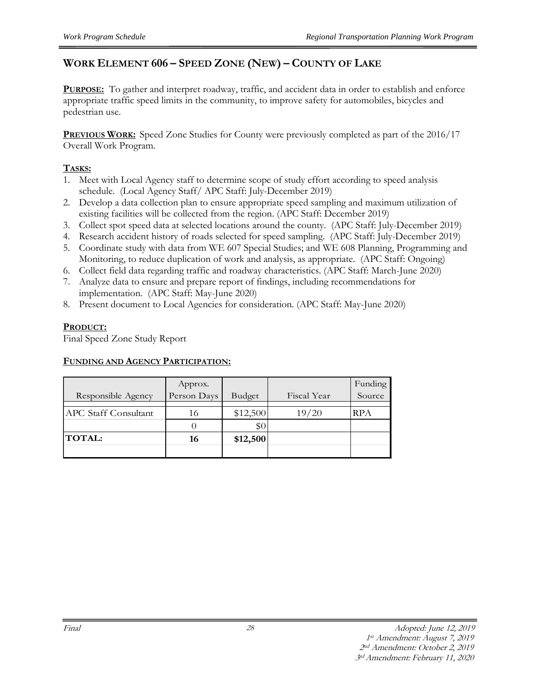## **WORK ELEMENT 606 – SPEED ZONE (NEW) – COUNTY OF LAKE**

**PURPOSE:** To gather and interpret roadway, traffic, and accident data in order to establish and enforce appropriate traffic speed limits in the community, to improve safety for automobiles, bicycles and pedestrian use.

**PREVIOUS WORK:** Speed Zone Studies for County were previously completed as part of the 2016/17 Overall Work Program.

#### **TASKS:**

- 1. Meet with Local Agency staff to determine scope of study effort according to speed analysis schedule. (Local Agency Staff/ APC Staff: July-December 2019)
- 2. Develop a data collection plan to ensure appropriate speed sampling and maximum utilization of existing facilities will be collected from the region. (APC Staff: December 2019)
- 3. Collect spot speed data at selected locations around the county. (APC Staff: July-December 2019)
- 4. Research accident history of roads selected for speed sampling. (APC Staff: July-December 2019)
- 5. Coordinate study with data from WE 607 Special Studies; and WE 608 Planning, Programming and Monitoring, to reduce duplication of work and analysis, as appropriate. (APC Staff: Ongoing)
- 6. Collect field data regarding traffic and roadway characteristics. (APC Staff: March-June 2020)
- 7. Analyze data to ensure and prepare report of findings, including recommendations for implementation. (APC Staff: May-June 2020)
- 8. Present document to Local Agencies for consideration. (APC Staff: May-June 2020)

#### **PRODUCT:**

Final Speed Zone Study Report

#### **FUNDING AND AGENCY PARTICIPATION:**

|                             | Approx.     |          |             | Funding |
|-----------------------------|-------------|----------|-------------|---------|
| Responsible Agency          | Person Days | Budget   | Fiscal Year | Source  |
|                             |             |          |             |         |
| <b>APC Staff Consultant</b> | 16          | \$12,500 | 19/20       | RPA     |
|                             |             | \$0      |             |         |
| <b>TOTAL:</b>               | 16          | \$12,500 |             |         |
|                             |             |          |             |         |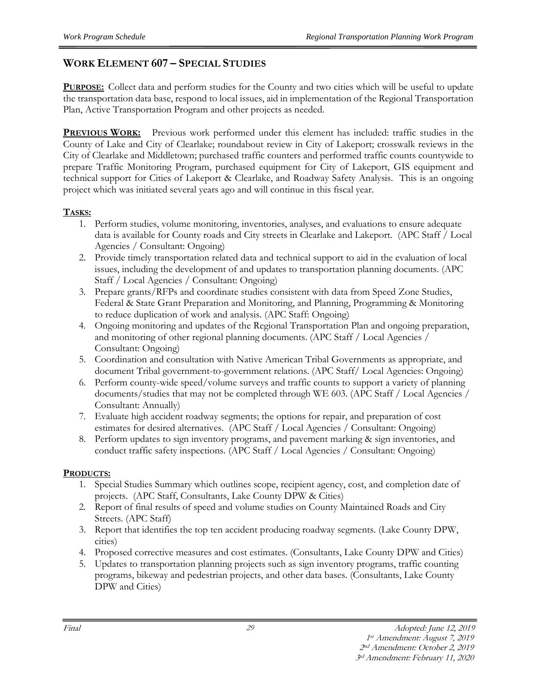## **WORK ELEMENT 607 – SPECIAL STUDIES**

**PURPOSE:** Collect data and perform studies for the County and two cities which will be useful to update the transportation data base, respond to local issues, aid in implementation of the Regional Transportation Plan, Active Transportation Program and other projects as needed.

**PREVIOUS WORK:** Previous work performed under this element has included: traffic studies in the County of Lake and City of Clearlake; roundabout review in City of Lakeport; crosswalk reviews in the City of Clearlake and Middletown; purchased traffic counters and performed traffic counts countywide to prepare Traffic Monitoring Program, purchased equipment for City of Lakeport, GIS equipment and technical support for Cities of Lakeport & Clearlake, and Roadway Safety Analysis. This is an ongoing project which was initiated several years ago and will continue in this fiscal year.

#### **TASKS:**

- 1. Perform studies, volume monitoring, inventories, analyses, and evaluations to ensure adequate data is available for County roads and City streets in Clearlake and Lakeport. (APC Staff / Local Agencies / Consultant: Ongoing)
- 2. Provide timely transportation related data and technical support to aid in the evaluation of local issues, including the development of and updates to transportation planning documents. (APC Staff / Local Agencies / Consultant: Ongoing)
- 3. Prepare grants/RFPs and coordinate studies consistent with data from Speed Zone Studies, Federal & State Grant Preparation and Monitoring, and Planning, Programming & Monitoring to reduce duplication of work and analysis. (APC Staff: Ongoing)
- 4. Ongoing monitoring and updates of the Regional Transportation Plan and ongoing preparation, and monitoring of other regional planning documents. (APC Staff / Local Agencies / Consultant: Ongoing)
- 5. Coordination and consultation with Native American Tribal Governments as appropriate, and document Tribal government-to-government relations. (APC Staff/ Local Agencies: Ongoing)
- 6. Perform county-wide speed/volume surveys and traffic counts to support a variety of planning documents/studies that may not be completed through WE 603. (APC Staff / Local Agencies / Consultant: Annually)
- 7. Evaluate high accident roadway segments; the options for repair, and preparation of cost estimates for desired alternatives. (APC Staff / Local Agencies / Consultant: Ongoing)
- 8. Perform updates to sign inventory programs, and pavement marking & sign inventories, and conduct traffic safety inspections. (APC Staff / Local Agencies / Consultant: Ongoing)

#### **PRODUCTS:**

- 1. Special Studies Summary which outlines scope, recipient agency, cost, and completion date of projects. (APC Staff, Consultants, Lake County DPW & Cities)
- 2. Report of final results of speed and volume studies on County Maintained Roads and City Streets. (APC Staff)
- 3. Report that identifies the top ten accident producing roadway segments. (Lake County DPW, cities)
- 4. Proposed corrective measures and cost estimates. (Consultants, Lake County DPW and Cities)
- 5. Updates to transportation planning projects such as sign inventory programs, traffic counting programs, bikeway and pedestrian projects, and other data bases. (Consultants, Lake County DPW and Cities)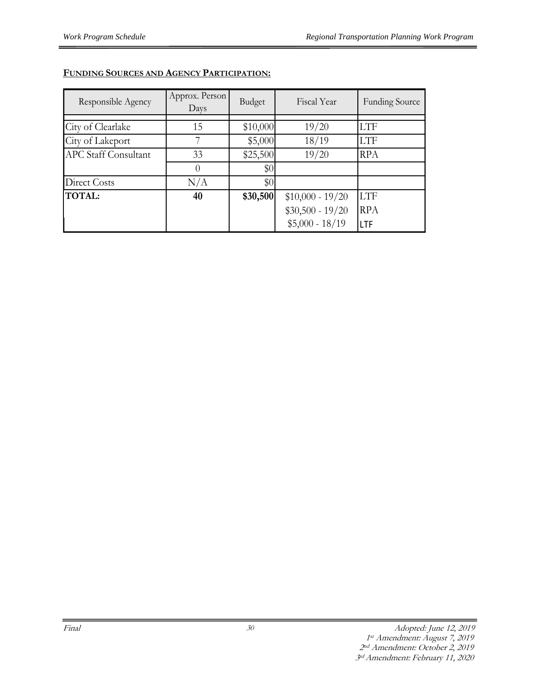| Responsible Agency          | Approx. Person<br>Days | Budget   | Fiscal Year       | <b>Funding Source</b> |
|-----------------------------|------------------------|----------|-------------------|-----------------------|
|                             |                        |          |                   |                       |
| City of Clearlake           | 15                     | \$10,000 | 19/20             | <b>LTF</b>            |
| City of Lakeport            |                        | \$5,000  | 18/19             | <b>LTF</b>            |
| <b>APC Staff Consultant</b> | 33                     | \$25,500 | 19/20             | <b>RPA</b>            |
|                             |                        | \$0      |                   |                       |
| Direct Costs                | N/A                    | \$0      |                   |                       |
| <b>TOTAL:</b>               | 40                     | \$30,500 | $$10,000 - 19/20$ | <b>LTF</b>            |
|                             |                        |          | $$30,500 - 19/20$ | <b>RPA</b>            |
|                             |                        |          | $$5,000 - 18/19$  | LTF                   |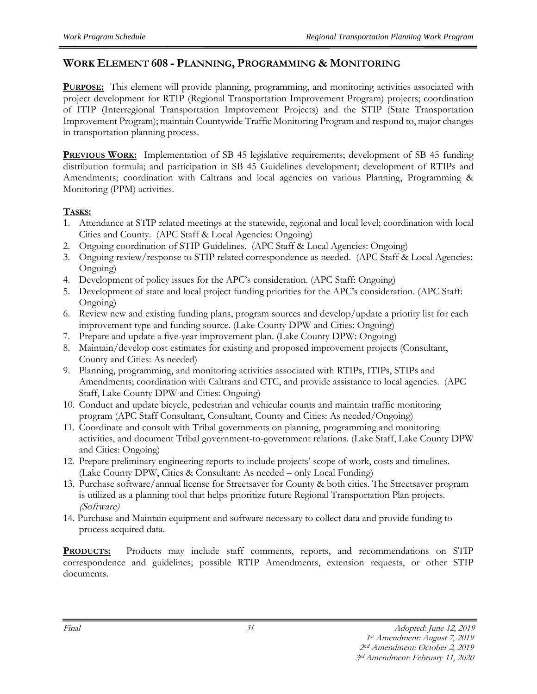## **WORK ELEMENT 608 - PLANNING, PROGRAMMING & MONITORING**

**PURPOSE:** This element will provide planning, programming, and monitoring activities associated with project development for RTIP (Regional Transportation Improvement Program) projects; coordination of ITIP (Interregional Transportation Improvement Projects) and the STIP (State Transportation Improvement Program); maintain Countywide Traffic Monitoring Program and respond to, major changes in transportation planning process.

**PREVIOUS WORK:** Implementation of SB 45 legislative requirements; development of SB 45 funding distribution formula; and participation in SB 45 Guidelines development; development of RTIPs and Amendments; coordination with Caltrans and local agencies on various Planning, Programming & Monitoring (PPM) activities.

#### **TASKS:**

- 1. Attendance at STIP related meetings at the statewide, regional and local level; coordination with local Cities and County. (APC Staff & Local Agencies: Ongoing)
- 2. Ongoing coordination of STIP Guidelines. (APC Staff & Local Agencies: Ongoing)
- 3. Ongoing review/response to STIP related correspondence as needed. (APC Staff & Local Agencies: Ongoing)
- 4. Development of policy issues for the APC's consideration. (APC Staff: Ongoing)
- 5. Development of state and local project funding priorities for the APC's consideration. (APC Staff: Ongoing)
- 6. Review new and existing funding plans, program sources and develop/update a priority list for each improvement type and funding source. (Lake County DPW and Cities: Ongoing)
- 7. Prepare and update a five-year improvement plan. (Lake County DPW: Ongoing)
- 8. Maintain/develop cost estimates for existing and proposed improvement projects (Consultant, County and Cities: As needed)
- 9. Planning, programming, and monitoring activities associated with RTIPs, ITIPs, STIPs and Amendments; coordination with Caltrans and CTC, and provide assistance to local agencies. (APC Staff, Lake County DPW and Cities: Ongoing)
- 10. Conduct and update bicycle, pedestrian and vehicular counts and maintain traffic monitoring program (APC Staff Consultant, Consultant, County and Cities: As needed/Ongoing)
- 11. Coordinate and consult with Tribal governments on planning, programming and monitoring activities, and document Tribal government-to-government relations. (Lake Staff, Lake County DPW and Cities: Ongoing)
- 12. Prepare preliminary engineering reports to include projects' scope of work, costs and timelines. (Lake County DPW, Cities & Consultant: As needed – only Local Funding)
- 13. Purchase software/annual license for Streetsaver for County & both cities. The Streetsaver program is utilized as a planning tool that helps prioritize future Regional Transportation Plan projects. (Software)
- 14. Purchase and Maintain equipment and software necessary to collect data and provide funding to process acquired data.

**PRODUCTS:** Products may include staff comments, reports, and recommendations on STIP correspondence and guidelines; possible RTIP Amendments, extension requests, or other STIP documents.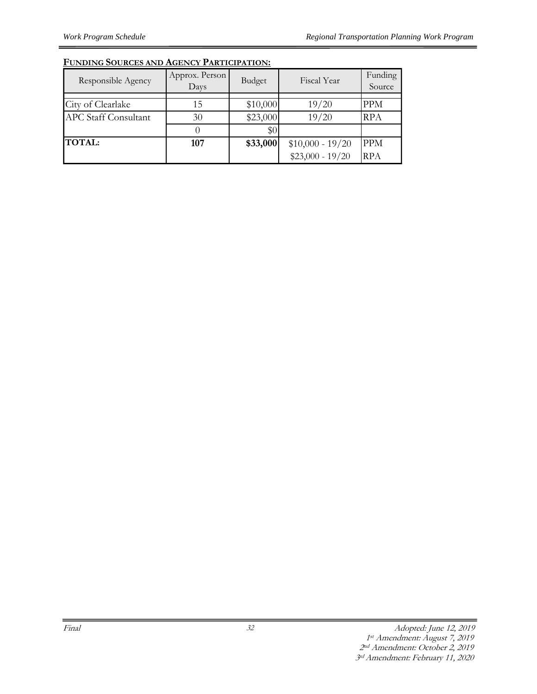| Responsible Agency          | Approx. Person<br>Days | Budget   | Fiscal Year       | Funding<br>Source |
|-----------------------------|------------------------|----------|-------------------|-------------------|
|                             |                        |          |                   |                   |
| City of Clearlake           | 15                     | \$10,000 | 19/20             | <b>PPM</b>        |
| <b>APC Staff Consultant</b> | 30                     | \$23,000 | 19/20             | <b>RPA</b>        |
|                             |                        | \$0      |                   |                   |
| <b>TOTAL:</b>               | 107                    | \$33,000 | $$10,000 - 19/20$ | <b>PPM</b>        |
|                             |                        |          | $$23,000 - 19/20$ | <b>RPA</b>        |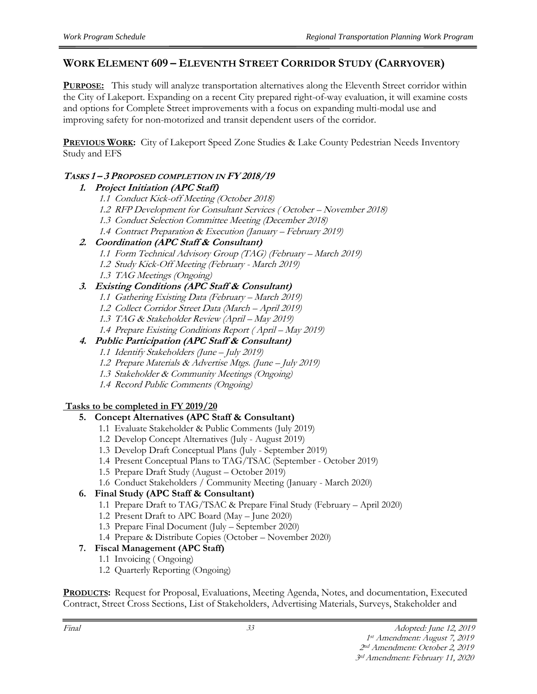## **WORK ELEMENT 609 – ELEVENTH STREET CORRIDOR STUDY (CARRYOVER)**

**PURPOSE:** This study will analyze transportation alternatives along the Eleventh Street corridor within the City of Lakeport. Expanding on a recent City prepared right-of-way evaluation, it will examine costs and options for Complete Street improvements with a focus on expanding multi-modal use and improving safety for non-motorized and transit dependent users of the corridor.

**PREVIOUS WORK:** City of Lakeport Speed Zone Studies & Lake County Pedestrian Needs Inventory Study and EFS

#### **TASKS 1 – 3 PROPOSED COMPLETION IN FY 2018/19**

#### **1. Project Initiation (APC Staff)**

- 1.1 Conduct Kick-off Meeting (October 2018)
- 1.2 RFP Development for Consultant Services ( October November 2018)
- 1.3 Conduct Selection Committee Meeting (December 2018)
- 1.4 Contract Preparation & Execution (January February 2019)

#### **2. Coordination (APC Staff & Consultant)**

- 1.1 Form Technical Advisory Group (TAG) (February March 2019)
- 1.2 Study Kick-Off Meeting (February March 2019)
- 1.3 TAG Meetings (Ongoing)

#### **3. Existing Conditions (APC Staff & Consultant)**

- 1.1 Gathering Existing Data (February March 2019)
- 1.2 Collect Corridor Street Data (March April 2019)
- 1.3 TAG & Stakeholder Review (April May 2019)
- 1.4 Prepare Existing Conditions Report ( April May 2019)

#### **4. Public Participation (APC Staff & Consultant)**

- 1.1 Identify Stakeholders (June July 2019)
- 1.2 Prepare Materials & Advertise Mtgs. (June July 2019)
- 1.3 Stakeholder & Community Meetings (Ongoing)
- 1.4 Record Public Comments (Ongoing)

#### **Tasks to be completed in FY 2019/20**

#### **5. Concept Alternatives (APC Staff & Consultant)**

- 1.1 Evaluate Stakeholder & Public Comments (July 2019)
- 1.2 Develop Concept Alternatives (July August 2019)
- 1.3 Develop Draft Conceptual Plans (July September 2019)
- 1.4 Present Conceptual Plans to TAG/TSAC (September October 2019)
- 1.5 Prepare Draft Study (August October 2019)
- 1.6 Conduct Stakeholders / Community Meeting (January March 2020)

## **6. Final Study (APC Staff & Consultant)**

- 1.1 Prepare Draft to TAG/TSAC & Prepare Final Study (February April 2020)
- 1.2 Present Draft to APC Board (May June 2020)
- 1.3 Prepare Final Document (July September 2020)
- 1.4 Prepare & Distribute Copies (October November 2020)

#### **7. Fiscal Management (APC Staff)**

- 1.1 Invoicing ( Ongoing)
- 1.2 Quarterly Reporting (Ongoing)

**PRODUCTS:** Request for Proposal, Evaluations, Meeting Agenda, Notes, and documentation, Executed Contract, Street Cross Sections, List of Stakeholders, Advertising Materials, Surveys, Stakeholder and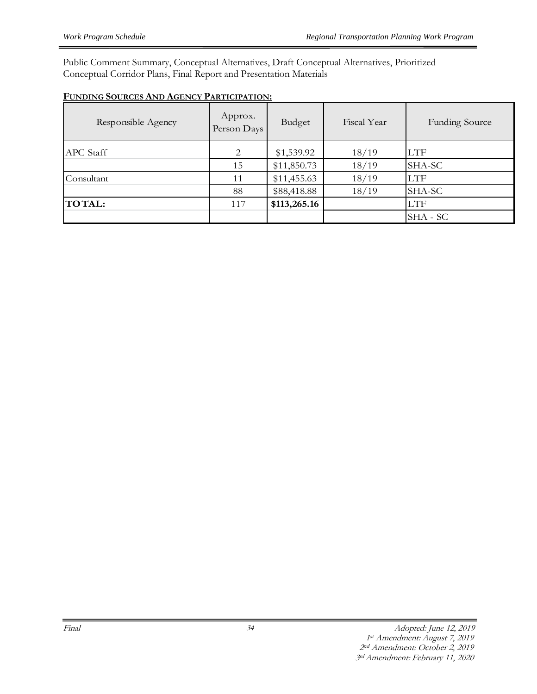Public Comment Summary, Conceptual Alternatives, Draft Conceptual Alternatives, Prioritized Conceptual Corridor Plans, Final Report and Presentation Materials

| FUNDING SOURCES AND AGENCY PARTICIPATION: |  |
|-------------------------------------------|--|
|                                           |  |

| Responsible Agency | Approx.<br>Person Days | Budget       | Fiscal Year | <b>Funding Source</b> |
|--------------------|------------------------|--------------|-------------|-----------------------|
| <b>APC</b> Staff   | 2                      | \$1,539.92   | 18/19       | <b>LTF</b>            |
|                    | 15                     | \$11,850.73  | 18/19       | SHA-SC                |
| Consultant         | 11                     | \$11,455.63  | 18/19       | <b>LTF</b>            |
|                    | 88                     | \$88,418.88  | 18/19       | SHA-SC                |
| <b>TOTAL:</b>      | 117                    | \$113,265.16 |             | <b>LTF</b>            |
|                    |                        |              |             | SHA - SC              |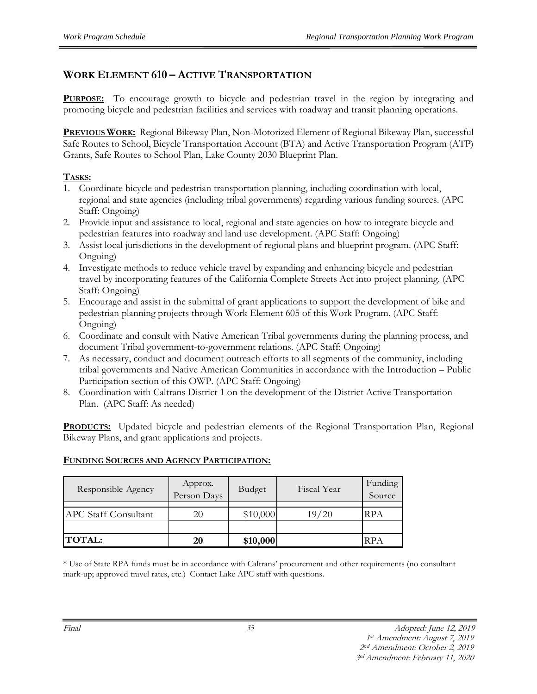## **WORK ELEMENT 610 – ACTIVE TRANSPORTATION**

**PURPOSE:** To encourage growth to bicycle and pedestrian travel in the region by integrating and promoting bicycle and pedestrian facilities and services with roadway and transit planning operations.

**PREVIOUS WORK:** Regional Bikeway Plan, Non-Motorized Element of Regional Bikeway Plan, successful Safe Routes to School, Bicycle Transportation Account (BTA) and Active Transportation Program (ATP) Grants, Safe Routes to School Plan, Lake County 2030 Blueprint Plan.

#### **TASKS:**

- 1. Coordinate bicycle and pedestrian transportation planning, including coordination with local, regional and state agencies (including tribal governments) regarding various funding sources. (APC Staff: Ongoing)
- 2. Provide input and assistance to local, regional and state agencies on how to integrate bicycle and pedestrian features into roadway and land use development. (APC Staff: Ongoing)
- 3. Assist local jurisdictions in the development of regional plans and blueprint program. (APC Staff: Ongoing)
- 4. Investigate methods to reduce vehicle travel by expanding and enhancing bicycle and pedestrian travel by incorporating features of the California Complete Streets Act into project planning. (APC Staff: Ongoing)
- 5. Encourage and assist in the submittal of grant applications to support the development of bike and pedestrian planning projects through Work Element 605 of this Work Program. (APC Staff: Ongoing)
- 6. Coordinate and consult with Native American Tribal governments during the planning process, and document Tribal government-to-government relations. (APC Staff: Ongoing)
- 7. As necessary, conduct and document outreach efforts to all segments of the community, including tribal governments and Native American Communities in accordance with the Introduction – Public Participation section of this OWP. (APC Staff: Ongoing)
- 8. Coordination with Caltrans District 1 on the development of the District Active Transportation Plan. (APC Staff: As needed)

**PRODUCTS:** Updated bicycle and pedestrian elements of the Regional Transportation Plan, Regional Bikeway Plans, and grant applications and projects.

#### **FUNDING SOURCES AND AGENCY PARTICIPATION:**

| Responsible Agency          | Approx.<br>Person Days | Budget   | Fiscal Year | Funding<br>Source |
|-----------------------------|------------------------|----------|-------------|-------------------|
| <b>APC</b> Staff Consultant | 20                     | \$10,000 | 19/20       | <b>RPA</b>        |
|                             |                        |          |             |                   |
| <b>TOTAL:</b>               | 20                     | \$10,000 |             | RPA               |

\* Use of State RPA funds must be in accordance with Caltrans' procurement and other requirements (no consultant mark-up; approved travel rates, etc.) Contact Lake APC staff with questions.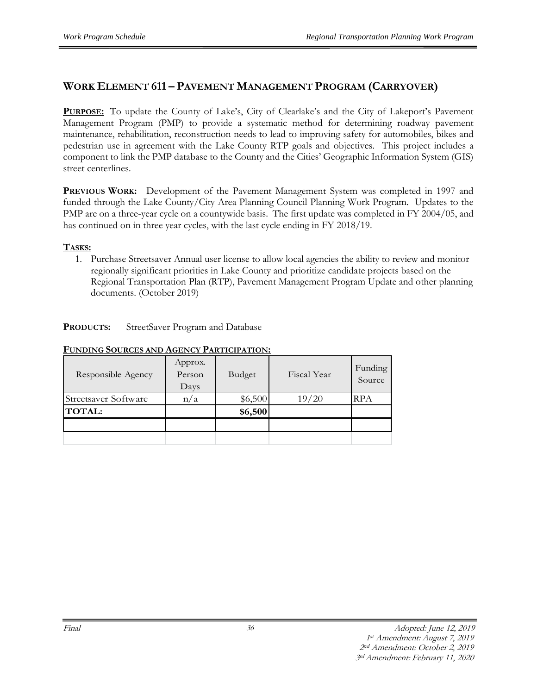## **WORK ELEMENT 611 – PAVEMENT MANAGEMENT PROGRAM (CARRYOVER)**

**PURPOSE:** To update the County of Lake's, City of Clearlake's and the City of Lakeport's Pavement Management Program (PMP) to provide a systematic method for determining roadway pavement maintenance, rehabilitation, reconstruction needs to lead to improving safety for automobiles, bikes and pedestrian use in agreement with the Lake County RTP goals and objectives. This project includes a component to link the PMP database to the County and the Cities' Geographic Information System (GIS) street centerlines.

**PREVIOUS WORK:** Development of the Pavement Management System was completed in 1997 and funded through the Lake County/City Area Planning Council Planning Work Program. Updates to the PMP are on a three-year cycle on a countywide basis. The first update was completed in FY 2004/05, and has continued on in three year cycles, with the last cycle ending in FY 2018/19.

#### **TASKS:**

1. Purchase Streetsaver Annual user license to allow local agencies the ability to review and monitor regionally significant priorities in Lake County and prioritize candidate projects based on the Regional Transportation Plan (RTP), Pavement Management Program Update and other planning documents. (October 2019)

**PRODUCTS:** StreetSaver Program and Database

| Responsible Agency   | Approx.<br>Person<br>Days | Budget  | Fiscal Year | Funding<br>Source |
|----------------------|---------------------------|---------|-------------|-------------------|
| Streetsaver Software | n/a                       | \$6,500 | 19/20       | <b>RPA</b>        |
| <b>TOTAL:</b>        |                           | \$6,500 |             |                   |
|                      |                           |         |             |                   |
|                      |                           |         |             |                   |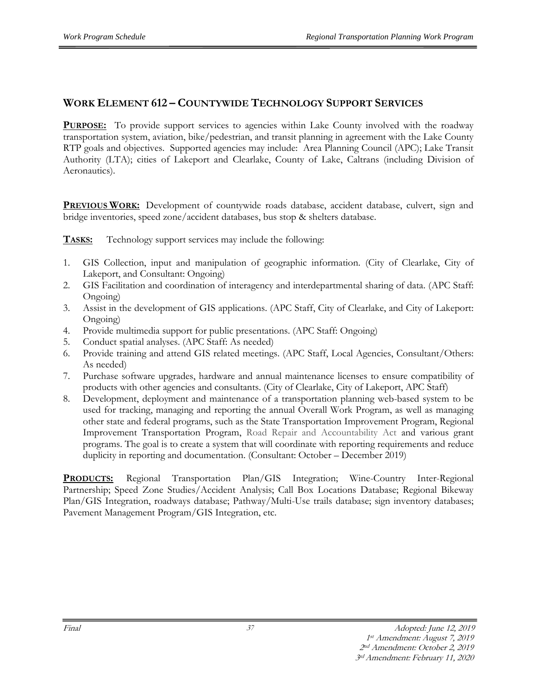## **WORK ELEMENT 612 – COUNTYWIDE TECHNOLOGY SUPPORT SERVICES**

**PURPOSE:** To provide support services to agencies within Lake County involved with the roadway transportation system, aviation, bike/pedestrian, and transit planning in agreement with the Lake County RTP goals and objectives. Supported agencies may include: Area Planning Council (APC); Lake Transit Authority (LTA); cities of Lakeport and Clearlake, County of Lake, Caltrans (including Division of Aeronautics).

**PREVIOUS WORK:** Development of countywide roads database, accident database, culvert, sign and bridge inventories, speed zone/accident databases, bus stop & shelters database.

**TASKS:** Technology support services may include the following:

- 1. GIS Collection, input and manipulation of geographic information. (City of Clearlake, City of Lakeport, and Consultant: Ongoing)
- 2. GIS Facilitation and coordination of interagency and interdepartmental sharing of data. (APC Staff: Ongoing)
- 3. Assist in the development of GIS applications. (APC Staff, City of Clearlake, and City of Lakeport: Ongoing)
- 4. Provide multimedia support for public presentations. (APC Staff: Ongoing)
- 5. Conduct spatial analyses. (APC Staff: As needed)
- 6. Provide training and attend GIS related meetings. (APC Staff, Local Agencies, Consultant/Others: As needed)
- 7. Purchase software upgrades, hardware and annual maintenance licenses to ensure compatibility of products with other agencies and consultants. (City of Clearlake, City of Lakeport, APC Staff)
- 8. Development, deployment and maintenance of a transportation planning web-based system to be used for tracking, managing and reporting the annual Overall Work Program, as well as managing other state and federal programs, such as the State Transportation Improvement Program, Regional Improvement Transportation Program, Road Repair and Accountability Act and various grant programs. The goal is to create a system that will coordinate with reporting requirements and reduce duplicity in reporting and documentation. (Consultant: October – December 2019)

**PRODUCTS:** Regional Transportation Plan/GIS Integration; Wine-Country Inter-Regional Partnership; Speed Zone Studies/Accident Analysis; Call Box Locations Database; Regional Bikeway Plan/GIS Integration, roadways database; Pathway/Multi-Use trails database; sign inventory databases; Pavement Management Program/GIS Integration, etc.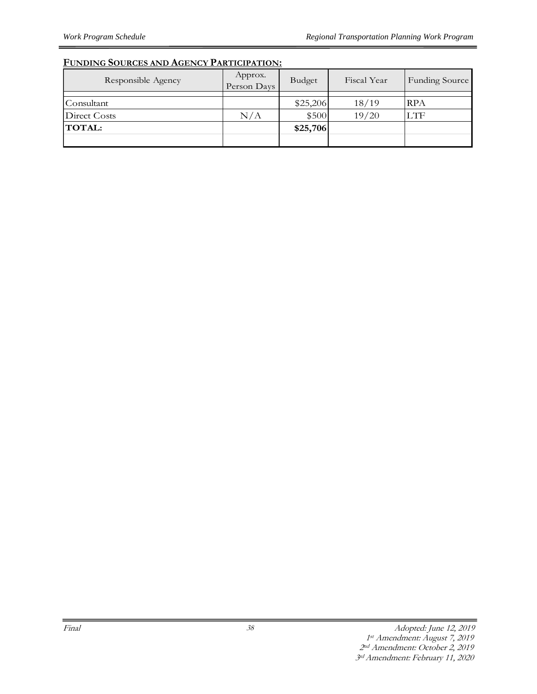| Responsible Agency | Approx.<br>Person Days | Budget   | Fiscal Year | <b>Funding Source</b> |
|--------------------|------------------------|----------|-------------|-----------------------|
|                    |                        |          |             |                       |
| Consultant         |                        | \$25,206 | 18/19       | <b>RPA</b>            |
| Direct Costs       | N/A                    | \$500    | 19/20       | <b>LTF</b>            |
| <b>TOTAL:</b>      |                        | \$25,706 |             |                       |
|                    |                        |          |             |                       |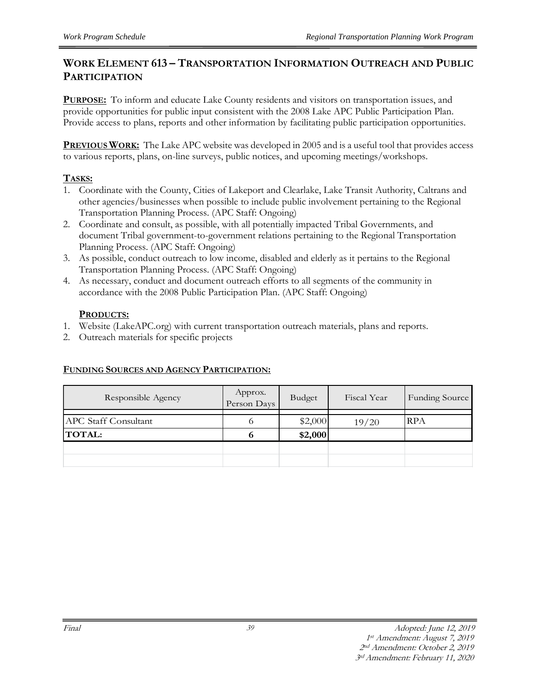### **WORK ELEMENT 613 – TRANSPORTATION INFORMATION OUTREACH AND PUBLIC PARTICIPATION**

**PURPOSE:** To inform and educate Lake County residents and visitors on transportation issues, and provide opportunities for public input consistent with the 2008 Lake APC Public Participation Plan. Provide access to plans, reports and other information by facilitating public participation opportunities.

**PREVIOUS WORK:** The Lake APC website was developed in 2005 and is a useful tool that provides access to various reports, plans, on-line surveys, public notices, and upcoming meetings/workshops.

#### **TASKS:**

- 1. Coordinate with the County, Cities of Lakeport and Clearlake, Lake Transit Authority, Caltrans and other agencies/businesses when possible to include public involvement pertaining to the Regional Transportation Planning Process. (APC Staff: Ongoing)
- 2. Coordinate and consult, as possible, with all potentially impacted Tribal Governments, and document Tribal government-to-government relations pertaining to the Regional Transportation Planning Process. (APC Staff: Ongoing)
- 3. As possible, conduct outreach to low income, disabled and elderly as it pertains to the Regional Transportation Planning Process. (APC Staff: Ongoing)
- 4. As necessary, conduct and document outreach efforts to all segments of the community in accordance with the 2008 Public Participation Plan. (APC Staff: Ongoing)

#### **PRODUCTS:**

- 1. Website (LakeAPC.org) with current transportation outreach materials, plans and reports.
- 2. Outreach materials for specific projects

| Responsible Agency          | Approx.<br>Person Days | <b>Budget</b> | Fiscal Year | Funding Source |
|-----------------------------|------------------------|---------------|-------------|----------------|
|                             |                        |               |             |                |
| <b>APC Staff Consultant</b> | O                      | \$2,000       | 19/20       | <b>RPA</b>     |
| <b>TOTAL:</b>               | o                      | \$2,000       |             |                |
|                             |                        |               |             |                |
|                             |                        |               |             |                |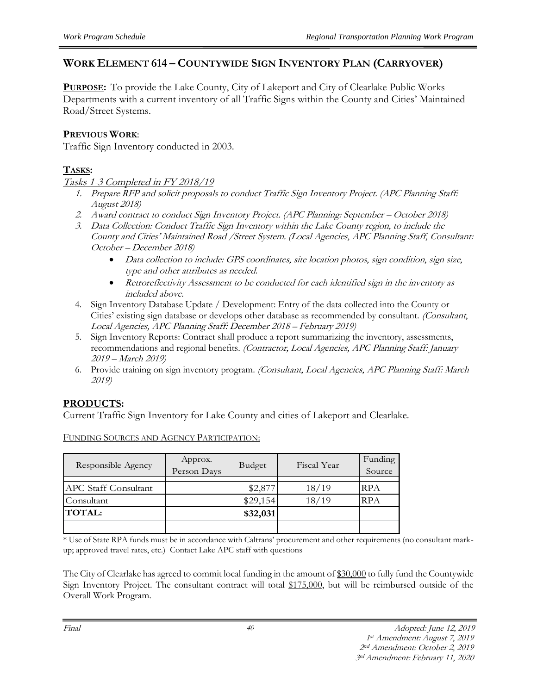## **WORK ELEMENT 614 – COUNTYWIDE SIGN INVENTORY PLAN (CARRYOVER)**

**PURPOSE:** To provide the Lake County, City of Lakeport and City of Clearlake Public Works Departments with a current inventory of all Traffic Signs within the County and Cities' Maintained Road/Street Systems.

#### **PREVIOUS WORK**:

Traffic Sign Inventory conducted in 2003.

## **TASKS:**

#### Tasks 1-3 Completed in FY 2018/19

- 1. Prepare RFP and solicit proposals to conduct Traffic Sign Inventory Project. (APC Planning Staff: August 2018)
- 2. Award contract to conduct Sign Inventory Project. (APC Planning: September October 2018)
- 3. Data Collection: Conduct Traffic Sign Inventory within the Lake County region, to include the County and Cities' Maintained Road /Street System. (Local Agencies, APC Planning Staff, Consultant: October – December 2018)
	- Data collection to include: GPS coordinates, site location photos, sign condition, sign size, type and other attributes as needed.
	- Retroreflectivity Assessment to be conducted for each identified sign in the inventory as included above.
- 4. Sign Inventory Database Update / Development: Entry of the data collected into the County or Cities' existing sign database or develops other database as recommended by consultant. (Consultant, Local Agencies, APC Planning Staff: December 2018 – February 2019)
- 5. Sign Inventory Reports: Contract shall produce a report summarizing the inventory, assessments, recommendations and regional benefits. (Contractor, Local Agencies, APC Planning Staff: January 2019 – March 2019)
- 6. Provide training on sign inventory program. (Consultant, Local Agencies, APC Planning Staff: March 2019)

## **PRODUCTS:**

Current Traffic Sign Inventory for Lake County and cities of Lakeport and Clearlake.

| Responsible Agency          | Approx.<br>Person Days | Budget   | Fiscal Year | Funding<br>Source |
|-----------------------------|------------------------|----------|-------------|-------------------|
| <b>APC Staff Consultant</b> |                        | \$2,877  | 18/19       | <b>RPA</b>        |
| Consultant                  |                        | \$29,154 | 18/19       | RPA               |
| <b>TOTAL:</b>               |                        | \$32,031 |             |                   |
|                             |                        |          |             |                   |

FUNDING SOURCES AND AGENCY PARTICIPATION:

\* Use of State RPA funds must be in accordance with Caltrans' procurement and other requirements (no consultant markup; approved travel rates, etc.) Contact Lake APC staff with questions

The City of Clearlake has agreed to commit local funding in the amount of \$30,000 to fully fund the Countywide Sign Inventory Project. The consultant contract will total \$175,000, but will be reimbursed outside of the Overall Work Program.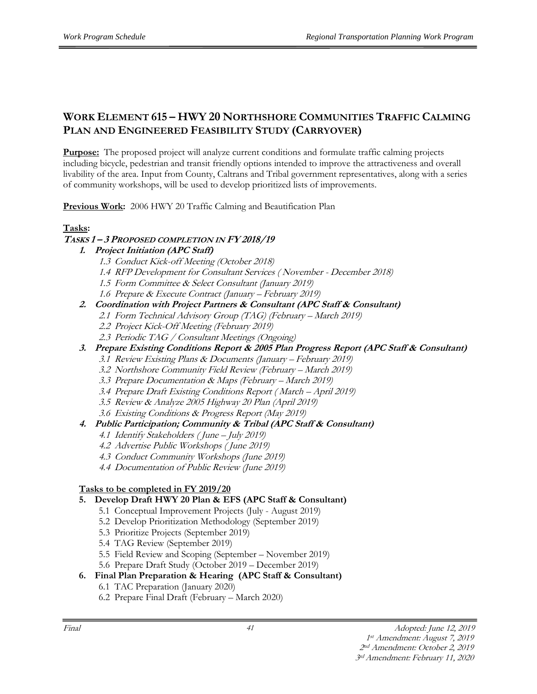## **WORK ELEMENT 615 – HWY 20 NORTHSHORE COMMUNITIES TRAFFIC CALMING PLAN AND ENGINEERED FEASIBILITY STUDY (CARRYOVER)**

**Purpose:** The proposed project will analyze current conditions and formulate traffic calming projects including bicycle, pedestrian and transit friendly options intended to improve the attractiveness and overall livability of the area. Input from County, Caltrans and Tribal government representatives, along with a series of community workshops, will be used to develop prioritized lists of improvements.

**Previous Work:** 2006 HWY 20 Traffic Calming and Beautification Plan

#### **Tasks:**

#### **TASKS 1 – 3 PROPOSED COMPLETION IN FY 2018/19**

#### **1. Project Initiation (APC Staff)**

- 1.3 Conduct Kick-off Meeting (October 2018)
- 1.4 RFP Development for Consultant Services ( November December 2018)
- 1.5 Form Committee & Select Consultant (January 2019)
- 1.6 Prepare & Execute Contract (January February 2019)
- **2. Coordination with Project Partners & Consultant (APC Staff & Consultant)**
	- 2.1 Form Technical Advisory Group (TAG) (February March 2019)
	- 2.2 Project Kick-Off Meeting (February 2019)
	- 2.3 Periodic TAG / Consultant Meetings (Ongoing)
- **3. Prepare Existing Conditions Report & 2005 Plan Progress Report (APC Staff & Consultant)**
	- 3.1 Review Existing Plans & Documents (January February 2019)
	- 3.2 Northshore Community Field Review (February March 2019)
	- 3.3 Prepare Documentation & Maps (February March 2019)
	- 3.4 Prepare Draft Existing Conditions Report ( March April 2019)
	- 3.5 Review & Analyze 2005 Highway 20 Plan (April 2019)
	- 3.6 Existing Conditions & Progress Report (May 2019)

#### **4. Public Participation; Community & Tribal (APC Staff & Consultant)**

- 4.1 Identify Stakeholders ( June July 2019)
- 4.2 Advertise Public Workshops ( June 2019)
- 4.3 Conduct Community Workshops (June 2019)
- 4.4 Documentation of Public Review (June 2019)

#### **Tasks to be completed in FY 2019/20**

#### **5. Develop Draft HWY 20 Plan & EFS (APC Staff & Consultant)**

- 5.1 Conceptual Improvement Projects (July August 2019)
- 5.2 Develop Prioritization Methodology (September 2019)
- 5.3 Prioritize Projects (September 2019)
- 5.4 TAG Review (September 2019)
- 5.5 Field Review and Scoping (September November 2019)
- 5.6 Prepare Draft Study (October 2019 December 2019)

#### **6. Final Plan Preparation & Hearing (APC Staff & Consultant)**

- 6.1 TAC Preparation (January 2020)
- 6.2 Prepare Final Draft (February March 2020)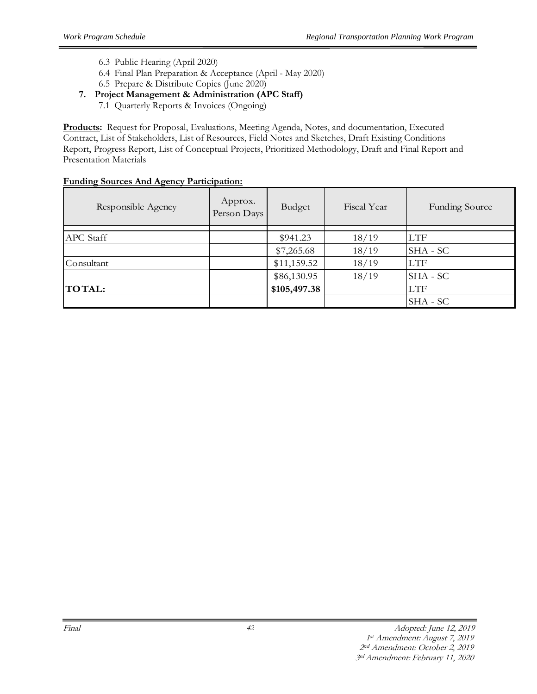- 6.3 Public Hearing (April 2020)
- 6.4 Final Plan Preparation & Acceptance (April May 2020)
- 6.5 Prepare & Distribute Copies (June 2020)
- **7. Project Management & Administration (APC Staff)**
	- 7.1 Quarterly Reports & Invoices (Ongoing)

**Products:** Request for Proposal, Evaluations, Meeting Agenda, Notes, and documentation, Executed Contract, List of Stakeholders, List of Resources, Field Notes and Sketches, Draft Existing Conditions Report, Progress Report, List of Conceptual Projects, Prioritized Methodology, Draft and Final Report and Presentation Materials

| -<br>Responsible Agency | Approx.<br>Person Days | Budget       | Fiscal Year | <b>Funding Source</b> |
|-------------------------|------------------------|--------------|-------------|-----------------------|
| <b>APC</b> Staff        |                        | \$941.23     | 18/19       | <b>LTF</b>            |
|                         |                        | \$7,265.68   | 18/19       | SHA - SC              |
| Consultant              |                        | \$11,159.52  | 18/19       | <b>LTF</b>            |
|                         |                        | \$86,130.95  | 18/19       | SHA - SC              |
| <b>TOTAL:</b>           |                        | \$105,497.38 |             | <b>LTF</b>            |
|                         |                        |              |             | SHA - SC              |

## **Funding Sources And Agency Participation:**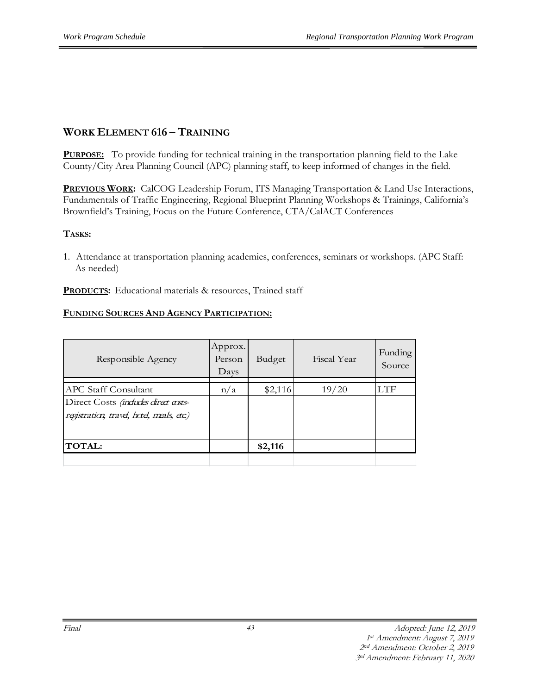## **WORK ELEMENT 616 – TRAINING**

**PURPOSE:** To provide funding for technical training in the transportation planning field to the Lake County/City Area Planning Council (APC) planning staff, to keep informed of changes in the field.

**PREVIOUS WORK:** CalCOG Leadership Forum, ITS Managing Transportation & Land Use Interactions, Fundamentals of Traffic Engineering, Regional Blueprint Planning Workshops & Trainings, California's Brownfield's Training, Focus on the Future Conference, CTA/CalACT Conferences

#### **TASKS:**

1. Attendance at transportation planning academies, conferences, seminars or workshops. (APC Staff: As needed)

**PRODUCTS:** Educational materials & resources, Trained staff

| Responsible Agency                                                                                            | Approx.<br>Person<br>Days | Budget  | Fiscal Year | Funding<br>Source |
|---------------------------------------------------------------------------------------------------------------|---------------------------|---------|-------------|-------------------|
| <b>APC Staff Consultant</b><br>Direct Costs (indudes direct asts-<br>registration, travel, hotel, meals, etc) | n/a                       | \$2,116 | 19/20       | LTF               |
| <b>TOTAL:</b>                                                                                                 |                           | \$2,116 |             |                   |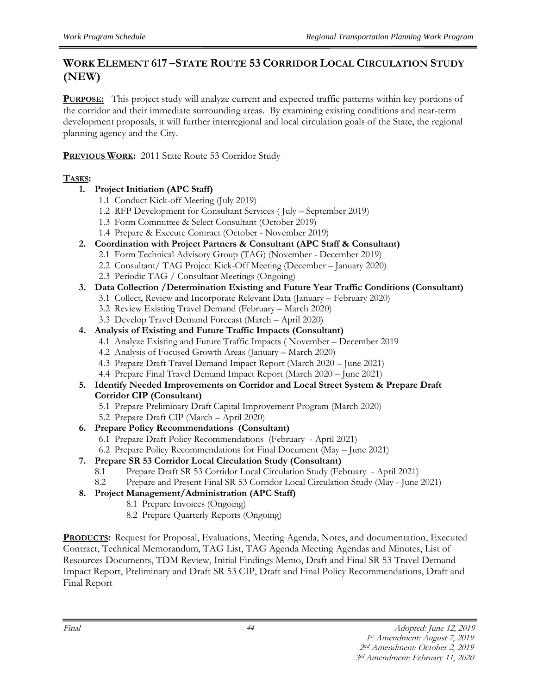## **WORK ELEMENT 617 –STATE ROUTE 53 CORRIDOR LOCAL CIRCULATION STUDY (NEW)**

**PURPOSE:** This project study will analyze current and expected traffic patterns within key portions of the corridor and their immediate surrounding areas. By examining existing conditions and near-term development proposals, it will further interregional and local circulation goals of the State, the regional planning agency and the City.

**PREVIOUS WORK:** 2011 State Route 53 Corridor Study

## **TASKS:**

- **1. Project Initiation (APC Staff)**
	- 1.1 Conduct Kick-off Meeting (July 2019)
	- 1.2 RFP Development for Consultant Services ( July September 2019)
	- 1.3 Form Committee & Select Consultant (October 2019)
	- 1.4 Prepare & Execute Contract (October November 2019)
- **2. Coordination with Project Partners & Consultant (APC Staff & Consultant)**
	- 2.1 Form Technical Advisory Group (TAG) (November December 2019)
	- 2.2 Consultant/ TAG Project Kick-Off Meeting (December January 2020)
	- 2.3 Periodic TAG / Consultant Meetings (Ongoing)
- **3. Data Collection /Determination Existing and Future Year Traffic Conditions (Consultant)**
	- 3.1 Collect, Review and Incorporate Relevant Data (January February 2020)
		- 3.2 Review Existing Travel Demand (February March 2020)
	- 3.3 Develop Travel Demand Forecast (March April 2020)
- **4. Analysis of Existing and Future Traffic Impacts (Consultant)**
	- 4.1 Analyze Existing and Future Traffic Impacts ( November December 2019
	- 4.2 Analysis of Focused Growth Areas (January March 2020)
	- 4.3 Prepare Draft Travel Demand Impact Report (March 2020 June 2021)
	- 4.4 Prepare Final Travel Demand Impact Report (March 2020 June 2021)
- **5. Identify Needed Improvements on Corridor and Local Street System & Prepare Draft Corridor CIP (Consultant)**
	- 5.1 Prepare Preliminary Draft Capital Improvement Program (March 2020)
	- 5.2 Prepare Draft CIP (March April 2020)
- **6. Prepare Policy Recommendations (Consultant)**
	- 6.1 Prepare Draft Policy Recommendations (February April 2021)
	- 6.2 Prepare Policy Recommendations for Final Document (May June 2021)
- **7. Prepare SR 53 Corridor Local Circulation Study (Consultant)**
	- 8.1 Prepare Draft SR 53 Corridor Local Circulation Study (February April 2021)
	- 8.2 Prepare and Present Final SR 53 Corridor Local Circulation Study (May June 2021)
- **8. Project Management/Administration (APC Staff)**
	- 8.1 Prepare Invoices (Ongoing)
	- 8.2 Prepare Quarterly Reports (Ongoing)

**PRODUCTS:** Request for Proposal, Evaluations, Meeting Agenda, Notes, and documentation, Executed Contract, Technical Memorandum, TAG List, TAG Agenda Meeting Agendas and Minutes, List of Resources Documents, TDM Review, Initial Findings Memo, Draft and Final SR 53 Travel Demand Impact Report, Preliminary and Draft SR 53 CIP, Draft and Final Policy Recommendations, Draft and Final Report

44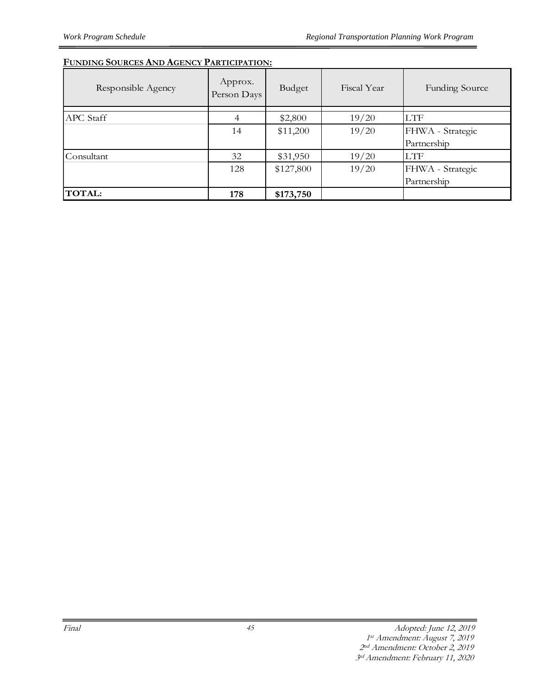| Responsible Agency | Approx.<br>Person Days | Budget    | Fiscal Year | <b>Funding Source</b> |
|--------------------|------------------------|-----------|-------------|-----------------------|
| APC Staff          | $\overline{4}$         | \$2,800   | 19/20       | <b>LTF</b>            |
|                    | 14                     | \$11,200  | 19/20       | FHWA - Strategic      |
|                    |                        |           |             | Partnership           |
| Consultant         | 32                     | \$31,950  | 19/20       | LTF                   |
|                    | 128                    | \$127,800 | 19/20       | FHWA - Strategic      |
|                    |                        |           |             | Partnership           |
| <b>TOTAL:</b>      | 178                    | \$173,750 |             |                       |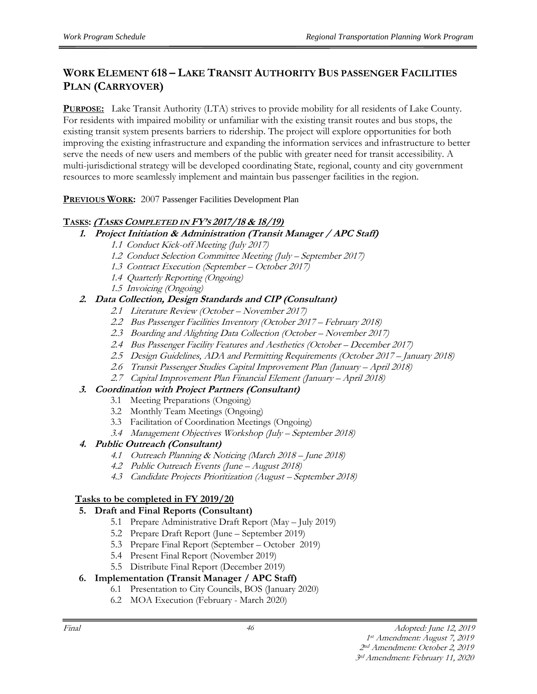## **WORK ELEMENT 618 – LAKE TRANSIT AUTHORITY BUS PASSENGER FACILITIES PLAN (CARRYOVER)**

**PURPOSE:** Lake Transit Authority (LTA) strives to provide mobility for all residents of Lake County. For residents with impaired mobility or unfamiliar with the existing transit routes and bus stops, the existing transit system presents barriers to ridership. The project will explore opportunities for both improving the existing infrastructure and expanding the information services and infrastructure to better serve the needs of new users and members of the public with greater need for transit accessibility. A multi-jurisdictional strategy will be developed coordinating State, regional, county and city government resources to more seamlessly implement and maintain bus passenger facilities in the region.

**PREVIOUS WORK:** 2007 Passenger Facilities Development Plan

#### **TASKS: (TASKS COMPLETED IN FY'<sup>S</sup> 2017/18 & 18/19)**

- **1. Project Initiation & Administration (Transit Manager / APC Staff)**
	- 1.1 Conduct Kick-off Meeting (July 2017)
	- 1.2 Conduct Selection Committee Meeting (July September 2017)
	- 1.3 Contract Execution (September October 2017)
	- 1.4 Quarterly Reporting (Ongoing)
	- 1.5 Invoicing (Ongoing)

#### **2. Data Collection, Design Standards and CIP (Consultant)**

- 2.1 Literature Review (October November 2017)
- 2.2 Bus Passenger Facilities Inventory (October 2017 February 2018)
- 2.3 Boarding and Alighting Data Collection (October November 2017)
- 2.4 Bus Passenger Facility Features and Aesthetics (October December 2017)
- 2.5 Design Guidelines, ADA and Permitting Requirements (October 2017 January 2018)
- 2.6 Transit Passenger Studies Capital Improvement Plan (January April 2018)
- 2.7 Capital Improvement Plan Financial Element (January April 2018)

#### **3. Coordination with Project Partners (Consultant)**

- 3.1 Meeting Preparations (Ongoing)
- 3.2 Monthly Team Meetings (Ongoing)
- 3.3 Facilitation of Coordination Meetings (Ongoing)
- 3.4 Management Objectives Workshop (July September 2018)

#### **4. Public Outreach (Consultant)**

- 4.1 Outreach Planning & Noticing (March 2018 June 2018)
- 4.2 Public Outreach Events (June August 2018)
- 4.3 Candidate Projects Prioritization (August September 2018)

#### **Tasks to be completed in FY 2019/20**

#### **5. Draft and Final Reports (Consultant)**

- 5.1 Prepare Administrative Draft Report (May July 2019)
- 5.2 Prepare Draft Report (June September 2019)
- 5.3 Prepare Final Report (September October 2019)
- 5.4 Present Final Report (November 2019)
- 5.5 Distribute Final Report (December 2019)

#### **6. Implementation (Transit Manager / APC Staff)**

- 6.1 Presentation to City Councils, BOS (January 2020)
- 6.2 MOA Execution (February March 2020)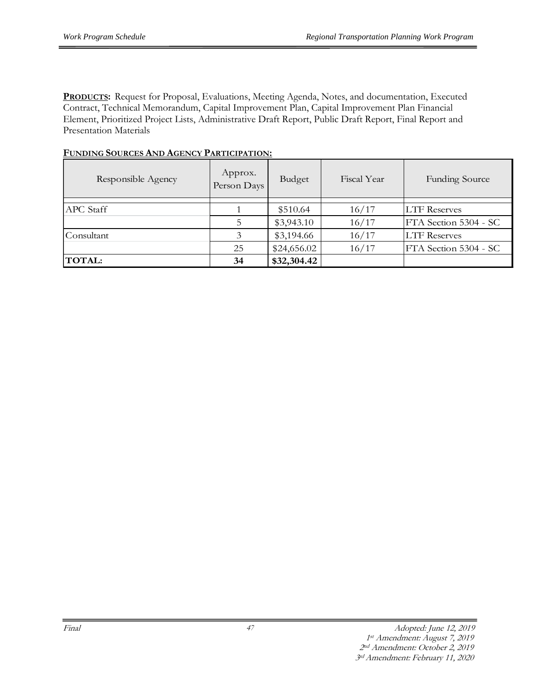**PRODUCTS:** Request for Proposal, Evaluations, Meeting Agenda, Notes, and documentation, Executed Contract, Technical Memorandum, Capital Improvement Plan, Capital Improvement Plan Financial Element, Prioritized Project Lists, Administrative Draft Report, Public Draft Report, Final Report and Presentation Materials

| FUNDING SOURCES AND AGENCY PARTICIPATION: |                        |             |             |                       |  |  |  |  |
|-------------------------------------------|------------------------|-------------|-------------|-----------------------|--|--|--|--|
| Responsible Agency                        | Approx.<br>Person Days | Budget      | Fiscal Year | <b>Funding Source</b> |  |  |  |  |
| APC Staff                                 |                        | \$510.64    | 16/17       | <b>LTF Reserves</b>   |  |  |  |  |
|                                           |                        | \$3,943.10  | 16/17       | FTA Section 5304 - SC |  |  |  |  |
| Consultant                                |                        | \$3,194.66  | 16/17       | <b>LTF Reserves</b>   |  |  |  |  |
|                                           | 25                     | \$24,656.02 | 16/17       | FTA Section 5304 - SC |  |  |  |  |

## **FUNDING SOURCES AND AGENCY PARTICIPATION:**

**TOTAL: 34 \$32,304.42**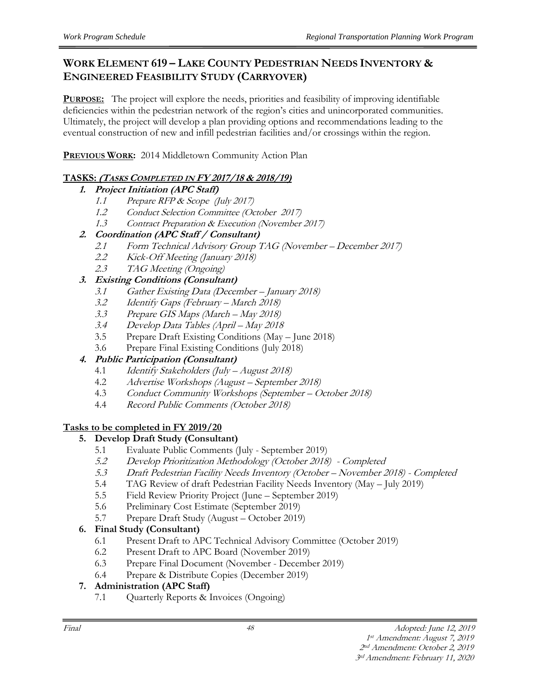## **WORK ELEMENT 619 – LAKE COUNTY PEDESTRIAN NEEDS INVENTORY & ENGINEERED FEASIBILITY STUDY (CARRYOVER)**

**PURPOSE:** The project will explore the needs, priorities and feasibility of improving identifiable deficiencies within the pedestrian network of the region's cities and unincorporated communities. Ultimately, the project will develop a plan providing options and recommendations leading to the eventual construction of new and infill pedestrian facilities and/or crossings within the region.

**PREVIOUS WORK:** 2014 Middletown Community Action Plan

## **TASKS: (TASKS COMPLETED IN FY 2017/18 & 2018/19)**

## **1. Project Initiation (APC Staff)**

- 1.1 Prepare RFP & Scope (July 2017)
- 1.2 Conduct Selection Committee (October 2017)
- 1.3 Contract Preparation & Execution (November 2017)

## **2. Coordination (APC Staff / Consultant)**

- 2.1 Form Technical Advisory Group TAG (November December 2017)
- 2.2 Kick-Off Meeting (January 2018)
- 2.3 TAG Meeting (Ongoing)

## **3. Existing Conditions (Consultant)**

- 3.1 Gather Existing Data (December January 2018)
- 3.2 Identify Gaps (February March 2018)<br>3.3 Prepare GIS Maps (March May 2018)
- Prepare GIS Maps (March May 2018)
- 3.4 Develop Data Tables (April May 2018
- 3.5 Prepare Draft Existing Conditions (May June 2018)
- 3.6 Prepare Final Existing Conditions (July 2018)

## **4. Public Participation (Consultant)**

- 4.1 Identify Stakeholders (July August 2018)
- 4.2 Advertise Workshops (August September 2018)
- 4.3 Conduct Community Workshops (September October 2018)
- 4.4 Record Public Comments (October 2018)

## **Tasks to be completed in FY 2019/20**

## **5. Develop Draft Study (Consultant)**

- 5.1 Evaluate Public Comments (July September 2019)
- 5.2 Develop Prioritization Methodology (October 2018) Completed
- 5.3 Draft Pedestrian Facility Needs Inventory (October November 2018) Completed
- 5.4 TAG Review of draft Pedestrian Facility Needs Inventory (May July 2019)
- 5.5 Field Review Priority Project (June September 2019)
- 5.6 Preliminary Cost Estimate (September 2019)
- 5.7 Prepare Draft Study (August October 2019)

## **6. Final Study (Consultant)**

- 6.1 Present Draft to APC Technical Advisory Committee (October 2019)
- 6.2 Present Draft to APC Board (November 2019)
- 6.3 Prepare Final Document (November December 2019)
- 6.4 Prepare & Distribute Copies (December 2019)

## **7. Administration (APC Staff)**

7.1 Quarterly Reports & Invoices (Ongoing)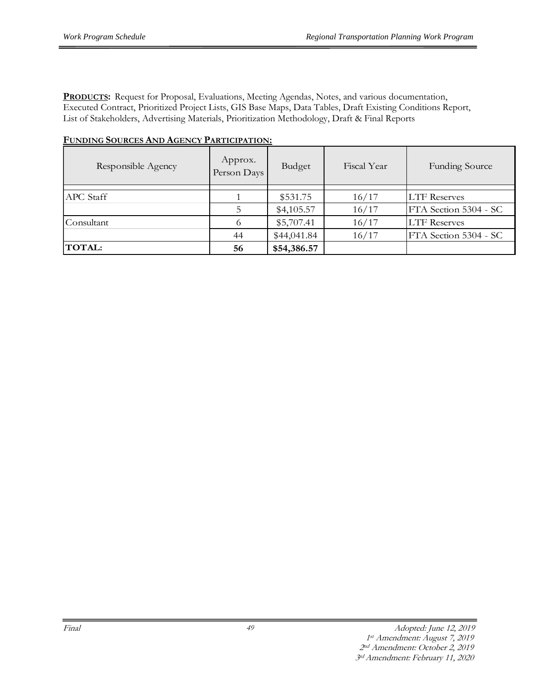**PRODUCTS:** Request for Proposal, Evaluations, Meeting Agendas, Notes, and various documentation, Executed Contract, Prioritized Project Lists, GIS Base Maps, Data Tables, Draft Existing Conditions Report, List of Stakeholders, Advertising Materials, Prioritization Methodology, Draft & Final Reports

| Responsible Agency | Approx.<br>Person Days | Budget      | Fiscal Year | <b>Funding Source</b> |
|--------------------|------------------------|-------------|-------------|-----------------------|
| APC Staff          |                        | \$531.75    | 16/17       | <b>LTF</b> Reserves   |
|                    |                        | \$4,105.57  | 16/17       | FTA Section 5304 - SC |
| Consultant         | 6                      | \$5,707.41  | 16/17       | <b>LTF</b> Reserves   |
|                    | 44                     | \$44,041.84 | 16/17       | FTA Section 5304 - SC |
| <b>TOTAL:</b>      | 56                     | \$54,386.57 |             |                       |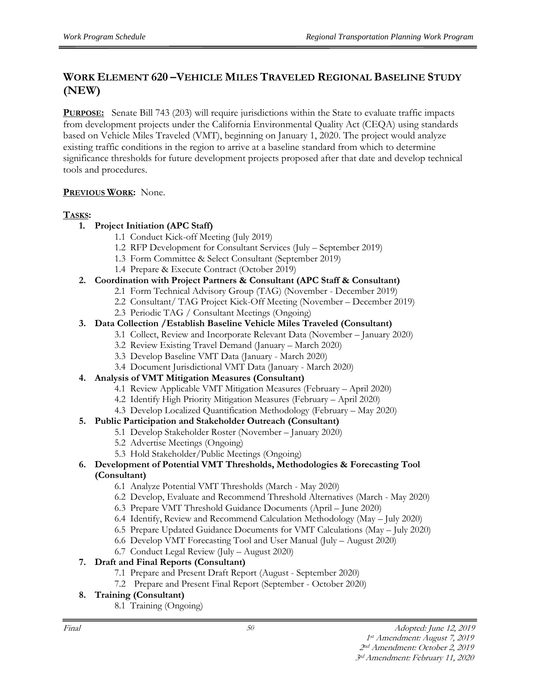## **WORK ELEMENT 620 –VEHICLE MILES TRAVELED REGIONAL BASELINE STUDY (NEW)**

**PURPOSE:** Senate Bill 743 (203) will require jurisdictions within the State to evaluate traffic impacts from development projects under the California Environmental Quality Act (CEQA) using standards based on Vehicle Miles Traveled (VMT), beginning on January 1, 2020. The project would analyze existing traffic conditions in the region to arrive at a baseline standard from which to determine significance thresholds for future development projects proposed after that date and develop technical tools and procedures.

#### **PREVIOUS WORK:** None.

#### **TASKS:**

#### **1. Project Initiation (APC Staff)**

- 1.1 Conduct Kick-off Meeting (July 2019)
- 1.2 RFP Development for Consultant Services (July September 2019)
- 1.3 Form Committee & Select Consultant (September 2019)
- 1.4 Prepare & Execute Contract (October 2019)
- **2. Coordination with Project Partners & Consultant (APC Staff & Consultant)**
	- 2.1 Form Technical Advisory Group (TAG) (November December 2019)
	- 2.2 Consultant/ TAG Project Kick-Off Meeting (November December 2019)
	- 2.3 Periodic TAG / Consultant Meetings (Ongoing)

#### **3. Data Collection /Establish Baseline Vehicle Miles Traveled (Consultant)**

- 3.1 Collect, Review and Incorporate Relevant Data (November January 2020)
- 3.2 Review Existing Travel Demand (January March 2020)
- 3.3 Develop Baseline VMT Data (January March 2020)
- 3.4 Document Jurisdictional VMT Data (January March 2020)
- **4. Analysis of VMT Mitigation Measures (Consultant)**
	- 4.1 Review Applicable VMT Mitigation Measures (February April 2020)
	- 4.2 Identify High Priority Mitigation Measures (February April 2020)
	- 4.3 Develop Localized Quantification Methodology (February May 2020)

#### **5. Public Participation and Stakeholder Outreach (Consultant)**

- 5.1 Develop Stakeholder Roster (November January 2020)
- 5.2 Advertise Meetings (Ongoing)
- 5.3 Hold Stakeholder/Public Meetings (Ongoing)

# **6. Development of Potential VMT Thresholds, Methodologies & Forecasting Tool**

#### **(Consultant)**

- 6.1 Analyze Potential VMT Thresholds (March May 2020)
- 6.2 Develop, Evaluate and Recommend Threshold Alternatives (March May 2020)
- 6.3 Prepare VMT Threshold Guidance Documents (April June 2020)
- 6.4 Identify, Review and Recommend Calculation Methodology (May July 2020)
- 6.5 Prepare Updated Guidance Documents for VMT Calculations (May July 2020)
- 6.6 Develop VMT Forecasting Tool and User Manual (July August 2020)
- 6.7 Conduct Legal Review (July August 2020)

## **7. Draft and Final Reports (Consultant)**

- 7.1 Prepare and Present Draft Report (August September 2020)
- 7.2 Prepare and Present Final Report (September October 2020)

## **8. Training (Consultant)**

8.1 Training (Ongoing)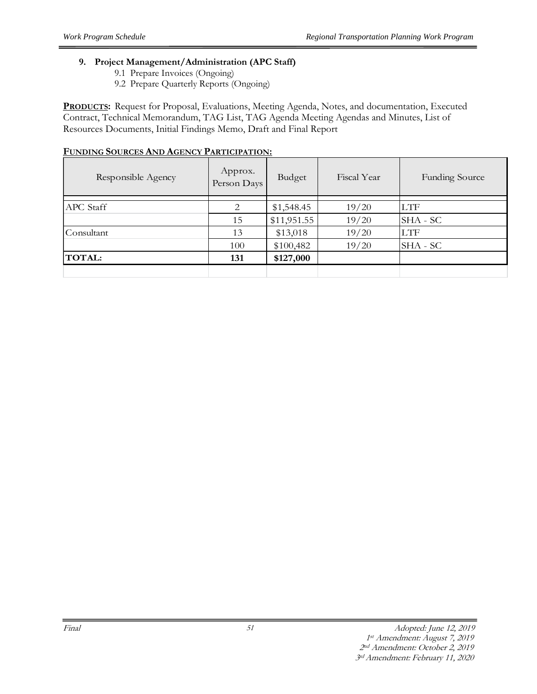#### **9. Project Management/Administration (APC Staff)**

- 9.1 Prepare Invoices (Ongoing)
- 9.2 Prepare Quarterly Reports (Ongoing)

**PRODUCTS:** Request for Proposal, Evaluations, Meeting Agenda, Notes, and documentation, Executed Contract, Technical Memorandum, TAG List, TAG Agenda Meeting Agendas and Minutes, List of Resources Documents, Initial Findings Memo, Draft and Final Report

| Responsible Agency | Approx.<br>Person Days | Budget      | Fiscal Year | <b>Funding Source</b> |
|--------------------|------------------------|-------------|-------------|-----------------------|
|                    |                        |             |             |                       |
| APC Staff          | 2                      | \$1,548.45  | 19/20       | <b>LTF</b>            |
|                    | 15                     | \$11,951.55 | 19/20       | SHA - SC              |
| Consultant         | 13                     | \$13,018    | 19/20       | <b>LTF</b>            |
|                    | 100                    | \$100,482   | 19/20       | SHA - SC              |
| <b>TOTAL:</b>      | 131                    | \$127,000   |             |                       |
|                    |                        |             |             |                       |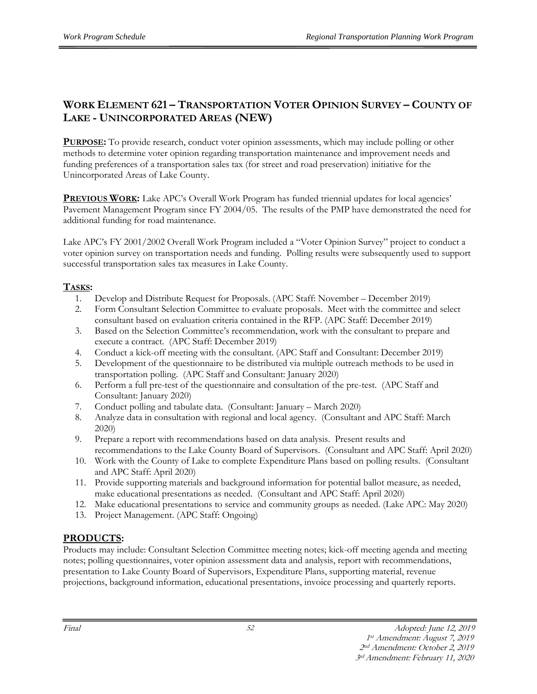## **WORK ELEMENT 621 – TRANSPORTATION VOTER OPINION SURVEY – COUNTY OF LAKE - UNINCORPORATED AREAS (NEW)**

**PURPOSE:** To provide research, conduct voter opinion assessments, which may include polling or other methods to determine voter opinion regarding transportation maintenance and improvement needs and funding preferences of a transportation sales tax (for street and road preservation) initiative for the Unincorporated Areas of Lake County.

**PREVIOUS WORK:** Lake APC's Overall Work Program has funded triennial updates for local agencies' Pavement Management Program since FY 2004/05. The results of the PMP have demonstrated the need for additional funding for road maintenance.

Lake APC's FY 2001/2002 Overall Work Program included a "Voter Opinion Survey" project to conduct a voter opinion survey on transportation needs and funding. Polling results were subsequently used to support successful transportation sales tax measures in Lake County.

#### **TASKS:**

- 1. Develop and Distribute Request for Proposals. (APC Staff: November December 2019)
- 2. Form Consultant Selection Committee to evaluate proposals. Meet with the committee and select consultant based on evaluation criteria contained in the RFP. (APC Staff: December 2019)
- 3. Based on the Selection Committee's recommendation, work with the consultant to prepare and execute a contract. (APC Staff: December 2019)
- 4. Conduct a kick-off meeting with the consultant. (APC Staff and Consultant: December 2019)
- 5. Development of the questionnaire to be distributed via multiple outreach methods to be used in transportation polling. (APC Staff and Consultant: January 2020)
- 6. Perform a full pre-test of the questionnaire and consultation of the pre-test. (APC Staff and Consultant: January 2020)
- 7. Conduct polling and tabulate data. (Consultant: January March 2020)
- 8. Analyze data in consultation with regional and local agency. (Consultant and APC Staff: March 2020)
- 9. Prepare a report with recommendations based on data analysis. Present results and recommendations to the Lake County Board of Supervisors. (Consultant and APC Staff: April 2020)
- 10. Work with the County of Lake to complete Expenditure Plans based on polling results. (Consultant and APC Staff: April 2020)
- 11. Provide supporting materials and background information for potential ballot measure, as needed, make educational presentations as needed. (Consultant and APC Staff: April 2020)
- 12. Make educational presentations to service and community groups as needed. (Lake APC: May 2020)
- 13. Project Management. (APC Staff: Ongoing)

#### **PRODUCTS:**

Products may include: Consultant Selection Committee meeting notes; kick-off meeting agenda and meeting notes; polling questionnaires, voter opinion assessment data and analysis, report with recommendations, presentation to Lake County Board of Supervisors, Expenditure Plans, supporting material, revenue projections, background information, educational presentations, invoice processing and quarterly reports.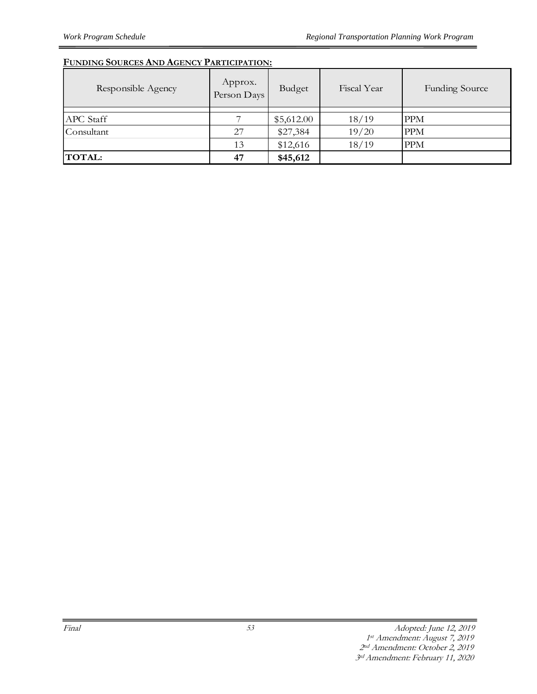| Responsible Agency | Approx.<br>Person Days | Budget     | Fiscal Year | <b>Funding Source</b> |  |
|--------------------|------------------------|------------|-------------|-----------------------|--|
| APC Staff          |                        | \$5,612.00 | 18/19       | <b>PPM</b>            |  |
| Consultant         | 27                     | \$27,384   | 19/20       | <b>PPM</b>            |  |
|                    | 13                     | \$12,616   | 18/19       | <b>PPM</b>            |  |
| <b>TOTAL:</b>      | 47                     | \$45,612   |             |                       |  |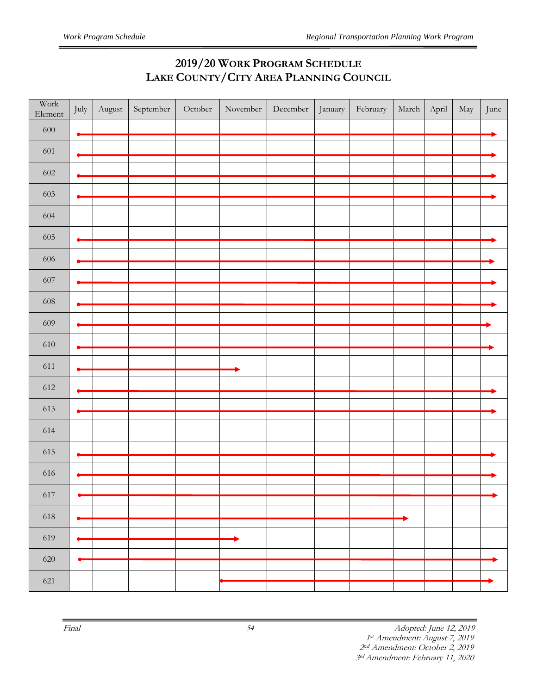## **2019/20 WORK PROGRAM SCHEDULE LAKE COUNTY/CITY AREA PLANNING COUNCIL**

| Work<br>Element | July | August | September | October | November | December | January | February | March | April | May | June |
|-----------------|------|--------|-----------|---------|----------|----------|---------|----------|-------|-------|-----|------|
| $600\,$         |      |        |           |         |          |          |         |          |       |       |     |      |
| 601             |      |        |           |         |          |          |         |          |       |       |     |      |
| 602             |      |        |           |         |          |          |         |          |       |       |     |      |
| 603             |      |        |           |         |          |          |         |          |       |       |     |      |
| 604             |      |        |           |         |          |          |         |          |       |       |     |      |
| 605             |      |        |           |         |          |          |         |          |       |       |     |      |
|                 |      |        |           |         |          |          |         |          |       |       |     |      |
| $606\,$         |      |        |           |         |          |          |         |          |       |       |     |      |
| 607             |      |        |           |         |          |          |         |          |       |       |     |      |
| $608\,$         |      |        |           |         |          |          |         |          |       |       |     |      |
| 609             |      |        |           |         |          |          |         |          |       |       |     |      |
| $610\,$         |      |        |           |         |          |          |         |          |       |       |     |      |
| $611\,$         |      |        |           |         |          |          |         |          |       |       |     |      |
| 612             |      |        |           |         |          |          |         |          |       |       |     |      |
| 613             |      |        |           |         |          |          |         |          |       |       |     |      |
| 614             |      |        |           |         |          |          |         |          |       |       |     |      |
| $615\,$         |      |        |           |         |          |          |         |          |       |       |     |      |
|                 |      |        |           |         |          |          |         |          |       |       |     |      |
| 616             |      |        |           |         |          |          |         |          |       |       |     |      |
| 617             |      |        |           |         |          |          |         |          |       |       |     |      |
| 618             |      |        |           |         |          |          |         |          |       |       |     |      |
| 619             |      |        |           |         |          |          |         |          |       |       |     |      |
| 620             |      |        |           |         |          |          |         |          |       |       |     |      |
| 621             |      |        |           |         |          |          |         |          |       |       |     |      |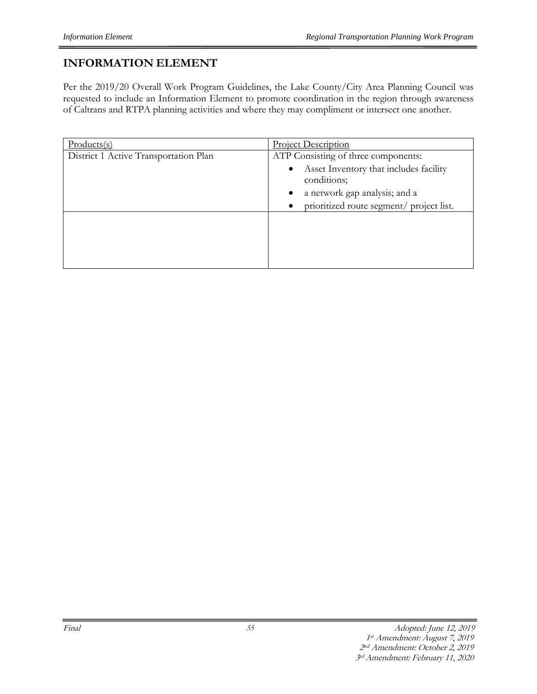## **INFORMATION ELEMENT**

Per the 2019/20 Overall Work Program Guidelines, the Lake County/City Area Planning Council was requested to include an Information Element to promote coordination in the region through awareness of Caltrans and RTPA planning activities and where they may compliment or intersect one another.

| $Products(s)$                         | <b>Project Description</b>                                                                                                                                                                               |
|---------------------------------------|----------------------------------------------------------------------------------------------------------------------------------------------------------------------------------------------------------|
| District 1 Active Transportation Plan | ATP Consisting of three components:<br>Asset Inventory that includes facility<br>$\bullet$<br>conditions;<br>a network gap analysis; and a<br>$\bullet$<br>prioritized route segment/ project list.<br>٠ |
|                                       |                                                                                                                                                                                                          |